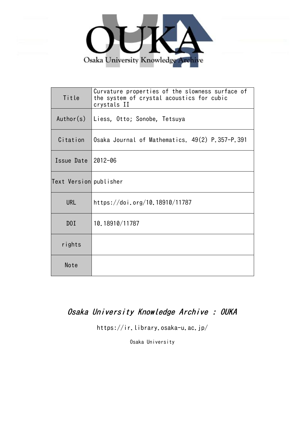

| Title                  | Curvature properties of the slowness surface of<br>the system of crystal acoustics for cubic<br>crystals II |
|------------------------|-------------------------------------------------------------------------------------------------------------|
| Author(s)              | Liess, Otto; Sonobe, Tetsuya                                                                                |
| Citation               | Osaka Journal of Mathematics. 49(2) P.357-P.391                                                             |
| Issue Date $ 2012-06$  |                                                                                                             |
| Text Version publisher |                                                                                                             |
| <b>URL</b>             | https://doi.org/10.18910/11787                                                                              |
| DOI                    | 10.18910/11787                                                                                              |
| rights                 |                                                                                                             |
| Note                   |                                                                                                             |

# Osaka University Knowledge Archive : OUKA

https://ir.library.osaka-u.ac.jp/

Osaka University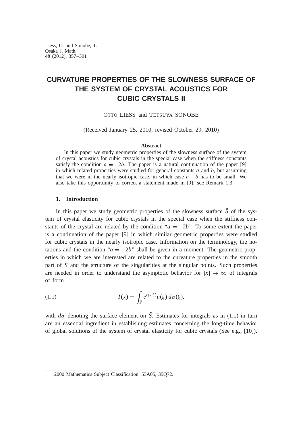# **CURVATURE PROPERTIES OF THE SLOWNESS SURFACE OF THE SYSTEM OF CRYSTAL ACOUSTICS FOR CUBIC CRYSTALS II**

OTTO LIESS and TETSUYA SONOBE

(Received January 25, 2010, revised October 29, 2010)

#### **Abstract**

In this paper we study geometric properties of the slowness surface of the system of crystal acoustics for cubic crystals in the special case when the stiffness constants satisfy the condition  $a = -2b$ . The paper is a natural continuation of the paper [9] in which related properties were studied for general constants *a* and *b*, but assuming that we were in the nearly isotropic case, in which case  $a - b$  has to be small. We also take this opportunity to correct a statement made in [9]: see Remark 1.3.

# **1. Introduction**

In this paper we study geometric properties of the slowness surface  $\tilde{S}$  of the system of crystal elasticity for cubic crystals in the special case when the stiffness constants of the crystal are related by the condition " $a = -2b$ ". To some extent the paper is a continuation of the paper [9] in which similar geometric properties were studied for cubic crystals in the nearly isotropic case. Information on the terminology, the notations and the condition " $a = -2b$ " shall be given in a moment. The geometric properties in which we are interested are related to the curvature properties in the smooth part of  $\hat{S}$  and the structure of the singularities at the singular points. Such properties are needed in order to understand the asymptotic behavior for  $|x| \to \infty$  of integrals of form

(1.1) 
$$
I(x) = \int_{\tilde{S}} e^{i\langle x,\xi \rangle} u(\xi) d\sigma(\xi),
$$

with  $d\sigma$  denoting the surface element on *S*. Estimates for integrals as in (1.1) in turn are an essential ingredient in establishing estimates concerning the long-time behavior of global solutions of the system of crystal elasticity for cubic crystals (See e.g., [10]).

<sup>2000</sup> Mathematics Subject Classification. 53A05, 35Q72.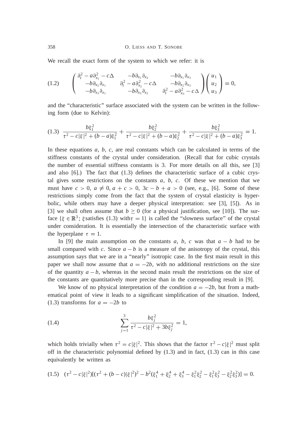We recall the exact form of the system to which we refer: it is

$$
(1.2) \qquad \begin{pmatrix} \frac{\partial_t^2 - a\partial_{x_1}^2 - c\Delta & -b\partial_{x_1}\partial_{x_2} & -b\partial_{x_1}\partial_{x_3} \\ -b\partial_{x_2}\partial_{x_1} & \frac{\partial_t^2 - a\partial_{x_2}^2 - c\Delta & -b\partial_{x_2}\partial_{x_3} \\ -b\partial_{x_3}\partial_{x_1} & -b\partial_{x_3}\partial_{x_2} & \frac{\partial_t^2 - a\partial_{x_3}^2 - c\Delta}{c\Delta} \end{pmatrix} \begin{pmatrix} u_1 \\ u_2 \\ u_3 \end{pmatrix} = 0,
$$

and the "characteristic" surface associated with the system can be written in the following form (due to Kelvin):

$$
(1.3) \frac{b\xi_1^2}{\tau^2 - c|\xi|^2 + (b-a)\xi_1^2} + \frac{b\xi_2^2}{\tau^2 - c|\xi|^2 + (b-a)\xi_2^2} + \frac{b\xi_3^2}{\tau^2 - c|\xi|^2 + (b-a)\xi_3^2} = 1.
$$

In these equations *a*, *b*, *c*, are real constants which can be calculated in terms of the stiffness constants of the crystal under consideration. (Recall that for cubic crystals the number of essential stiffness constants is 3. For more details on all this, see [3] and also [6].) The fact that (1.3) defines the characteristic surface of a cubic crystal gives some restrictions on the constants  $a, b, c$ . Of these we mention that we must have  $c > 0$ ,  $a \neq 0$ ,  $a + c > 0$ ,  $3c - b + a > 0$  (see, e.g., [6]. Some of these restrictions simply come from the fact that the system of crystal elasticity is hyperbolic, while others may have a deeper physical interpretation: see [3], [5]). As in [3] we shall often assume that  $b \ge 0$  (for a physical justification, see [10]). The surface  $\{\xi \in \mathbb{R}^3\}$ ;  $\xi$  satisfies (1.3) with  $\tau = 1\}$  is called the "slowness surface" of the crystal under consideration. It is essentially the intersection of the characteristic surface with the hyperplane  $\tau = 1$ .

In [9] the main assumption on the constants *a*, *b*, *c* was that  $a - b$  had to be small compared with *c*. Since  $a - b$  is a measure of the anisotropy of the crystal, this assumption says that we are in a "nearly" isotropic case. In the first main result in this paper we shall now assume that  $a = -2b$ , with no additional restrictions on the size of the quantity  $a - b$ , whereas in the second main result the restrictions on the size of the constants are quantitatively more precise than in the corresponding result in [9].

We know of no physical interpretation of the condition  $a = -2b$ , but from a mathematical point of view it leads to a significant simplification of the situation. Indeed, (1.3) transforms for  $a = -2b$  to

(1.4) 
$$
\sum_{j=1}^{3} \frac{b\xi_j^2}{\tau^2 - c|\xi|^2 + 3b\xi_j^2} = 1,
$$

which holds trivially when  $\tau^2 = c |\xi|^2$ . This shows that the factor  $\tau^2 - c |\xi|^2$  must split off in the characteristic polynomial defined by  $(1.3)$  and in fact,  $(1.3)$  can in this case equivalently be written as

$$
(1.5) \quad (\tau^2 - c|\xi|^2)[(\tau^2 + (b - c)|\xi|^2)^2 - b^2(\xi_1^4 + \xi_2^4 + \xi_3^4 - \xi_1^2\xi_2^2 - \xi_1^2\xi_3^2 - \xi_2^2\xi_3^2)] = 0.
$$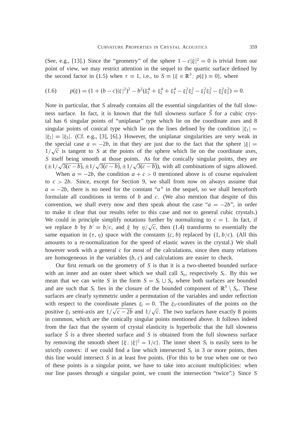(See, e.g., [13].) Since the "geometry" of the sphere  $1 - c|\xi|^2 = 0$  is trivial from our point of view, we may restrict attention in the sequel to the quartic surface defined by the second factor in (1.5) when  $\tau = 1$ , i.e., to  $S = {\xi \in \mathbb{R}^3$ ;  $p(\xi) = 0}$ , where

$$
(1.6) \qquad p(\xi) = (1 + (b - c)|\xi|^2)^2 - b^2(\xi_1^4 + \xi_2^4 + \xi_3^4 - \xi_1^2 \xi_2^2 - \xi_1^2 \xi_3^2 - \xi_2^2 \xi_3^2) = 0.
$$

Note in particular, that *S* already contains all the essential singularities of the full slowness surface. In fact, it is known that the full slowness surface  $S$  for a cubic crystal has 6 singular points of "uniplanar" type which lie on the coordinate axes and 8 singular points of conical type which lie on the lines defined by the condition  $|\xi_1|$  =  $|\xi_2| = |\xi_3|$ . (Cf. e.g., [3], [6].) However, the uniplanar singularities are very weak in the special case  $a = -2b$ , in that they are just due to the fact that the sphere  $|\xi|$  $1/\sqrt{c}$  is tangent to *S* at the points of the sphere which lie on the coordinate axes, *S* itself being smooth at those points. As for the conically singular points, they are  $(\pm 1/\sqrt{3(c-b)}, \pm 1/\sqrt{3(c-b)}, \pm 1/\sqrt{3(c-b)})$ , with all combinations of signs allowed.

When  $a = -2b$ , the condition  $a + c > 0$  mentioned above is of course equivalent to  $c > 2b$ . Since, except for Section 9, we shall from now on always assume that  $a = -2b$ , there is no need for the constant "*a*" in the sequel, so we shall henceforth formulate all conditions in terms of *b* and *c*. (We also mention that despite of this convention, we shall every now and then speak about the case " $a = -2b$ ", in order to make it clear that our results refer to this case and not to general cubic crystals.) We could in principle simplify notations further by normalizing to  $c = 1$ . In fact, if we replace *b* by  $b' = b/c$ , and  $\xi$  by  $\eta/\sqrt{c}$ , then (1.4) transforms to essentially the same equation in  $(\tau, \eta)$  space with the constants  $(c, b)$  replaced by  $(1, b/c)$ . (All this amounts to a re-normalization for the speed of elastic waves in the crystal.) We shall however work with a general  $c$  for most of the calculations, since then many relations are homogeneous in the variables (*b*, *c*) and calculations are easier to check.

Our first remark on the geometry of *S* is that it is a two-sheeted bounded surface with an inner and an outer sheet which we shall call  $S<sub>o</sub>$ , respectively  $S<sub>i</sub>$ . By this we mean that we can write *S* in the form  $S = S_i \cup S_o$  where both surfaces are bounded and are such that  $S_i$  lies in the closure of the bounded component of  $\mathbb{R}^3 \setminus S_o$ . These surfaces are clearly symmetric under a permutation of the variables and under reflection with respect to the coordinate planes  $\xi_i = 0$ . The  $\xi_3$ -coordinates of the points on the positive  $\xi_3$  semi-axis are  $1/\sqrt{c-2b}$  and  $1/\sqrt{c}$ . The two surfaces have exactly 8 points in common, which are the conically singular points mentioned above. It follows indeed from the fact that the system of crystal elasticity is hyperbolic that the full slowness surface  $S$  is a three sheeted surface and  $S$  is obtained from the full slowness surface by removing the smooth sheet  $\{\xi; |\xi|^2 = 1/c\}$ . The inner sheet  $S_i$  is easily seen to be strictly convex: if we could find a line which intersected  $S_i$  in 3 or more points, then this line would intersect  $S$  in at least five points. (For this to be true when one or two of these points is a singular point, we have to take into account multiplicities: when our line passes through a singular point, we count the intersection "twice".) Since *S*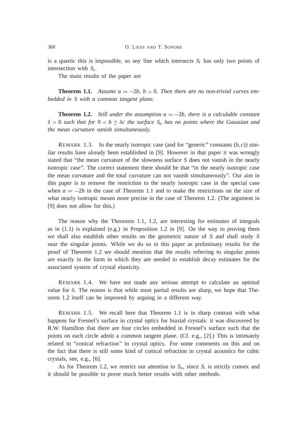is a quartic this is impossible, so any line which intersects  $S_i$  has only two points of intersection with *S<sup>i</sup>* .

The main results of the paper are

**Theorem 1.1.** Assume  $a = -2b$ ,  $b > 0$ . Then there are no non-trivial curves em*bedded in S with a common tangent plane.*

**Theorem 1.2.** *Still under the assumption*  $a = -2b$ *, there is a calculable constant*  $\delta > 0$  such that for  $0 < b \leq \delta$ c the surface  $S<sub>o</sub>$  has no points where the Gaussian and *the mean curvature vanish simultaneously.*

REMARK 1.3. In the nearly isotropic case (and for "generic" constants  $(b, c)$ ) similar results have already been established in [9]. However in that paper it was wrongly stated that "the mean curvature of the slowness surface *S* does not vanish in the nearly isotropic case". The correct statement there should be that "in the nearly isotropic case the mean curvature and the total curvature can not vanish simultaneously". Our aim in this paper is to remove the restriction to the nearly isotropic case in the special case when  $a = -2b$  in the case of Theorem 1.1 and to make the restrictions on the size of what nearly isotropic means more precise in the case of Theorem 1.2. (The argument in [9] does not allow for this.)

The reason why the Theorems 1.1, 1.2, are interesting for estimates of integrals as in  $(1.1)$  is explained (e.g.) in Proposition 1.2 in [9]. On the way to proving them we shall also establish other results on the geometric nature of *S* and shall study *S* near the singular points. While we do so in this paper as preliminary results for the proof of Theorem 1.2 we should mention that the results referring to singular points are exactly in the form in which they are needed to establish decay estimates for the associated system of crystal elasticity.

REMARK 1.4. We have not made any serious attempt to calculate an optimal value for  $\delta$ . The reason is that while most partial results are sharp, we hope that Theorem 1.2 itself can be improved by arguing in a different way.

REMARK 1.5. We recall here that Theorem 1.1 is in sharp contrast with what happens for Fresnel's surface in crystal optics for biaxial crystals: it was discovered by R.W. Hamilton that there are four circles embedded in Fresnel's surface such that the points on each circle admit a common tangent plane. (Cf. e.g., [2].) This is intimately related to "conical refraction" in crystal optics. For some comments on this and on the fact that there is still some kind of conical refraction in crystal acoustics for cubic crystals, see, e.g., [6].

As for Theorem 1.2, we restrict our attention to  $S<sub>o</sub>$ , since  $S<sub>i</sub>$  is strictly convex and it should be possible to prove much better results with other methods.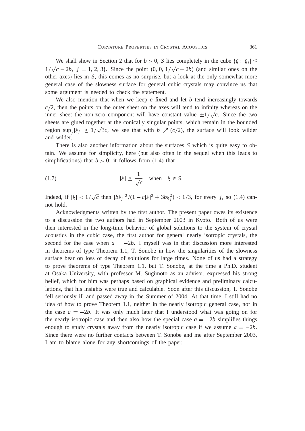We shall show in Section 2 that for  $b > 0$ , S lies completely in the cube  $\{\xi; |\xi_j| \leq \xi_j\}$  $1/\sqrt{c-2b}$ ,  $j = 1, 2, 3$ . Since the point  $(0, 0, 1/\sqrt{c-2b})$  (and similar ones on the other axes) lies in *S*, this comes as no surprise, but a look at the only somewhat more general case of the slowness surface for general cubic crystals may convince us that some argument is needed to check the statement.

We also mention that when we keep *c* fixed and let *b* tend increasingly towards  $c/2$ , then the points on the outer sheet on the axes will tend to infinity whereas on the inner sheet the non-zero component will have constant value  $\pm 1/\sqrt{c}$ . Since the two sheets are glued together at the conically singular points, which remain in the bounded region  $\sup_j |\xi_j| \leq 1/\sqrt{3c}$ , we see that with *b*  $\nearrow$  (*c*/2), the surface will look wilder and wilder.

There is also another information about the surfaces *S* which is quite easy to obtain. We assume for simplicity, here (but also often in the sequel when this leads to simplifications) that  $b > 0$ : it follows from (1.4) that

(1.7) 
$$
|\xi| \ge \frac{1}{\sqrt{c}}
$$
 when  $\xi \in S$ .

Indeed, if  $|\xi| < 1/\sqrt{c}$  then  $|b\xi_j|^2/(1-c|\xi|^2 + 3b\xi_j^2) < 1/3$ , for every *j*, so (1.4) cannot hold.

Acknowledgments written by the first author. The present paper owes its existence to a discussion the two authors had in September 2003 in Kyoto. Both of us were then interested in the long-time behavior of global solutions to the system of crystal acoustics in the cubic case, the first author for general nearly isotropic crystals, the second for the case when  $a = -2b$ . I myself was in that discussion more interested in theorems of type Theorem 1.1, T. Sonobe in how the singularities of the slowness surface bear on loss of decay of solutions for large times. None of us had a strategy to prove theorems of type Theorem 1.1, but T. Sonobe, at the time a Ph.D. student at Osaka University, with professor M. Sugimoto as an advisor, expressed his strong belief, which for him was perhaps based on graphical evidence and preliminary calculations, that his insights were true and calculable. Soon after this discussion, T. Sonobe fell seriously ill and passed away in the Summer of 2004. At that time, I still had no idea of how to prove Theorem 1.1, neither in the nearly isotropic general case, nor in the case  $a = -2b$ . It was only much later that I understood what was going on for the nearly isotropic case and then also how the special case  $a = -2b$  simplifies things enough to study crystals away from the nearly isotropic case if we assume  $a = -2b$ . Since there were no further contacts between T. Sonobe and me after September 2003, I am to blame alone for any shortcomings of the paper.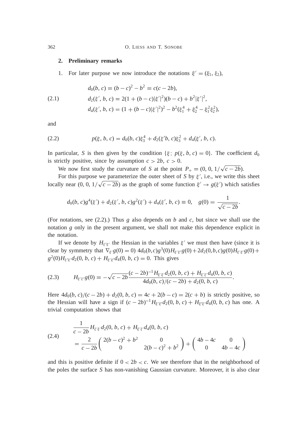#### **2. Preliminary remarks**

1. For later purpose we now introduce the notations  $\xi' = (\xi_1, \xi_2)$ ,

(2.1) 
$$
d_0(b, c) = (b - c)^2 - b^2 = c(c - 2b),
$$

$$
d_2(\xi', b, c) = 2(1 + (b - c)|\xi'|^2)(b - c) + b^2|\xi'|^2,
$$

$$
d_4(\xi', b, c) = (1 + (b - c)|\xi'|^2)^2 - b^2(\xi_1^4 + \xi_2^4 - \xi_1^2\xi_2^2),
$$

and

(2.2) 
$$
p(\xi, b, c) = d_0(b, c)\xi_3^4 + d_2(\xi'b, c)\xi_3^2 + d_4(\xi', b, c).
$$

In particular, *S* is then given by the condition  $\{\xi; p(\xi, b, c) = 0\}$ . The coefficient  $d_0$ is strictly positive, since by assumption  $c > 2b$ ,  $c > 0$ .

We now first study the curvature of *S* at the point  $P_+ = (0, 0, 1/\sqrt{c - 2b})$ .

For this purpose we parameterize the outer sheet of S by  $\xi'$ , i.e., we write this sheet locally near  $(0, 0, 1/\sqrt{c-2b})$  as the graph of some function  $\xi' \to g(\xi')$  which satisfies

$$
d_0(b, c)g^4(\xi') + d_2(\xi', b, c)g^2(\xi') + d_4(\xi', b, c) \equiv 0, \quad g(0) = \frac{1}{\sqrt{c - 2b}}.
$$

(For notations, see (2.2).) Thus *g* also depends on *b* and *c*, but since we shall use the notation *g* only in the present argument, we shall not make this dependence explicit in the notation.

If we denote by  $H_{\xi^k}$  the Hessian in the variables  $\xi'$  we must then have (since it is clear by symmetry that  $\nabla_{\xi'} g(0) = 0$  and  $d_0(b,c)g^3(0)H_{\xi'\xi'}g(0) + 2d_2(0,b,c)g(0)H_{\xi'\xi'}g(0) +$  $g^2(0)H_{\xi'\xi'}d_2(0, b, c) + H_{\xi'\xi'}d_4(0, b, c) = 0$ . This gives

$$
(2.3) \tH_{\xi'\xi'}g(0) = -\sqrt{c-2b} \frac{(c-2b)^{-1}H_{\xi'\xi'}d_2(0, b, c) + H_{\xi'\xi'}d_4(0, b, c)}{4d_0(b, c)/(c-2b) + d_2(0, b, c)}
$$

Here  $4d_0(b, c)/(c - 2b) + d_2(0, b, c) = 4c + 2(b - c) = 2(c + b)$  is strictly positive, so the Hessian will have a sign if  $(c - 2b)^{-1} H_{\xi' \xi'} d_2(0, b, c) + H_{\xi' \xi'} d_4(0, b, c)$  has one. A trivial computation shows that

.

(2.4) 
$$
\frac{1}{c-2b}H_{\xi'\xi'}d_2(0, b, c) + H_{\xi'\xi'}d_4(0, b, c)
$$

$$
= \frac{2}{c-2b}\begin{pmatrix} 2(b-c)^2 + b^2 & 0\\ 0 & 2(b-c)^2 + b^2 \end{pmatrix} + \begin{pmatrix} 4b-4c & 0\\ 0 & 4b-4c \end{pmatrix}
$$

and this is positive definite if  $0 < 2b < c$ . We see therefore that in the neighborhood of the poles the surface *S* has non-vanishing Gaussian curvature. Moreover, it is also clear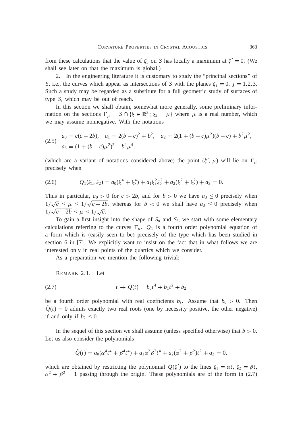from these calculations that the value of  $\xi_3$  on *S* has locally a maximum at  $\xi' = 0$ . (We shall see later on that the maximum is global.)

2. In the engineering literature it is customary to study the "principal sections" of *S*, i.e., the curves which appear as intersections of *S* with the planes  $\xi_i = 0$ ,  $j = 1,2,3$ . Such a study may be regarded as a substitute for a full geometric study of surfaces of type *S*, which may be out of reach.

In this section we shall obtain, somewhat more generally, some preliminary information on the sections  $\Gamma_{\mu} = S \cap {\{\xi \in \mathbb{R}^3 \colon \xi_3 = \mu\}}$  where  $\mu$  is a real number, which we may assume nonnegative. With the notations

$$
\begin{aligned} a_0 &= c(c - 2b), \quad a_1 = 2(b - c)^2 + b^2, \quad a_2 = 2(1 + (b - c)\mu^2)(b - c) + b^2\mu^2, \\ a_3 &= (1 + (b - c)\mu^2)^2 - b^2\mu^4, \end{aligned}
$$

(which are a variant of notations considered above) the point  $(\xi', \mu)$  will lie on  $\Gamma_{\mu}$ precisely when

$$
(2.6) \tQ1(\xi1, \xi2) = a0(\xi14 + \xi24) + a1\xi12\xi22 + a2(\xi12 + \xi22) + a3 = 0.
$$

Thus in particular,  $a_0 > 0$  for  $c > 2b$ , and for  $b > 0$  we have  $a_3 \le 0$  precisely when  $1/\sqrt{c} \leq \mu \leq 1/\sqrt{c} - 2b$ , whereas for  $b < 0$  we shall have  $a_3 \leq 0$  precisely when  $1/\sqrt{c-2b} \leq \mu \leq 1/\sqrt{c}.$ 

To gain a first insight into the shape of  $S$ <sup>*o*</sup> and  $S$ <sup>*i*</sup>, we start with some elementary calculations referring to the curves  $\Gamma_{\mu}$ .  $Q_1$  is a fourth order polynomial equation of a form which is (easily seen to be) precisely of the type which has been studied in section 6 in [7]. We explicitly want to insist on the fact that in what follows we are interested only in real points of the quartics which we consider.

As a preparation we mention the following trivial:

REMARK 2.1. Let

(2.7) 
$$
t \to \tilde{Q}(t) = b_0 t^4 + b_1 t^2 + b_2
$$

be a fourth order polynomial with real coefficients  $b_i$ . Assume that  $b_0 > 0$ . Then  $Q(t) = 0$  admits exactly two real roots (one by necessity positive, the other negative) if and only if  $b_2 \leq 0$ .

In the sequel of this section we shall assume (unless specified otherwise) that  $b > 0$ . Let us also consider the polynomials

$$
\tilde{Q}(t) = a_0(\alpha^4 t^4 + \beta^4 t^4) + a_1 \alpha^2 \beta^2 t^4 + a_2(\alpha^2 + \beta^2) t^2 + a_3 = 0,
$$

which are obtained by restricting the polynomial  $Q(\xi')$  to the lines  $\xi_1 = \alpha t$ ,  $\xi_2 = \beta t$ ,  $\alpha^2 + \beta^2 = 1$  passing through the origin. These polynomials are of the form in (2.7)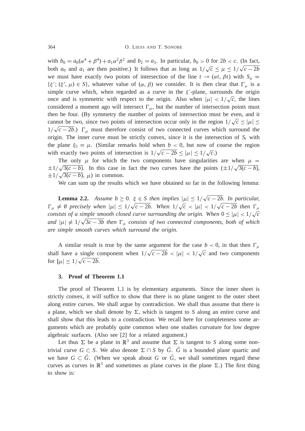with  $b_0 = a_0(\alpha^4 + \beta^4) + a_1\alpha^2\beta^2$  and  $b_2 = a_3$ . In particular,  $b_0 > 0$  for  $2b < c$ . (In fact, both  $a_0$  and  $a_1$  are then positive.) It follows that as long as  $1/\sqrt{c} \le \mu \le 1/\sqrt{c-2b}$ we must have exactly two points of intersection of the line  $t \to (\alpha t, \beta t)$  with  $S_u$  $\{\xi', (\xi', \mu) \in S\}$ , whatever value of  $(\alpha, \beta)$  we consider. It is then clear that  $\Gamma_{\mu}$  is a simple curve which, when regarded as a curve in the  $\xi'$ -plane, surrounds the origin once and is symmetric with respect to the origin. Also when  $|\mu| < 1/\sqrt{c}$ , the lines considered a moment ago will intersect  $\Gamma_{\mu}$ , but the number of intersection points must then be four. (By symmetry the number of points of intersection must be even, and it cannot be two, since two points of intersection occur only in the region  $1/\sqrt{c} \leq |\mu| \leq$  $1/\sqrt{c-2b}$ .)  $\Gamma_{\mu}$  must therefore consist of two connected curves which surround the origin. The inner curve must be strictly convex, since it is the intersection of  $S_i$  with the plane  $\xi_3 = \mu$ . (Similar remarks hold when  $b < 0$ , but now of course the region with exactly two points of intersection is  $1/\sqrt{c-2b} \leq |\mu| \leq 1/\sqrt{c}$ .)

The only  $\mu$  for which the two components have singularities are when  $\mu =$  $\pm 1/\sqrt{3(c-b)}$ . In this case in fact the two curves have the points  $(\pm 1/\sqrt{3(c-b)})$ ,  $\pm 1/\sqrt{3(c-b)}, \mu$  in common.

We can sum up the results which we have obtained so far in the following lemma:

**Lemma 2.2.** Assume  $b \ge 0$ .  $\xi \in S$  then implies  $|\mu| \le 1/\sqrt{c-2b}$ . In particular,  $\Gamma_{\mu} \neq \emptyset$  precisely when  $|\mu| \leq 1/\sqrt{c-2b}$ . When  $1/\sqrt{c} < |\mu| < 1/\sqrt{c-2b}$  then  $\Gamma_{\mu}$ *consists of a simple smooth closed curve surrounding the origin. When*  $0 \leq |\mu| < 1/\sqrt{c}$ *and*  $|\mu| \neq 1/\sqrt{3c - 3b}$  then  $\Gamma_{\mu}$  consists of two connected components, both of which *are simple smooth curves which surround the origin.*

A similar result is true by the same argument for the case  $b < 0$ , in that then  $\Gamma_{\mu}$ shall have a single component when  $1/\sqrt{c-2b} < |\mu| < 1/\sqrt{c}$  and two components for  $|\mu| \leq 1/\sqrt{c-2b}$ .

# **3. Proof of Theorem 1.1**

The proof of Theorem 1.1 is by elementary arguments. Since the inner sheet is strictly convex, it will suffice to show that there is no plane tangent to the outer sheet along entire curves. We shall argue by contradiction. We shall thus assume that there is a plane, which we shall denote by  $\Sigma$ , which is tangent to *S* along an entire curve and shall show that this leads to a contradiction. We recall here for completeness some arguments which are probably quite common when one studies curvature for low degree algebraic surfaces. (Also see [2] for a related argument.)

Let thus  $\Sigma$  be a plane in  $\mathbb{R}^3$  and assume that  $\Sigma$  is tangent to *S* along some nontrivial curve  $G \subset S$ . We also denote  $\Sigma \cap S$  by *G*. *G* is a bounded plane quartic and we have  $G \subset G$ . (When we speak about  $G$  or  $G$ , we shall sometimes regard these curves as curves in  $\mathbb{R}^3$  and sometimes as plane curves in the plane  $\Sigma$ .) The first thing to show is: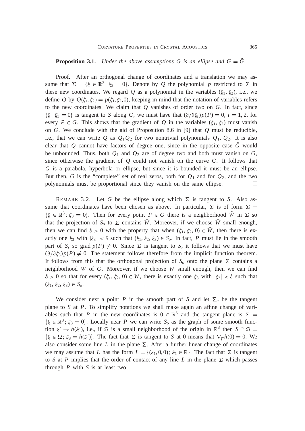# **Proposition 3.1.** *Under the above assumptions G is an ellipse and*  $G = \tilde{G}$ *.*

Proof. After an orthogonal change of coordinates and a translation we may assume that  $\Sigma = {\xi \in \mathbb{R}^3; \xi_3 = 0}$ . Denote by *Q* the polynomial *p* restricted to  $\Sigma$  in these new coordinates. We regard Q as a polynomial in the variables  $(\xi_1, \xi_2)$ , i.e., we define *Q* by  $Q(\xi_1, \xi_2) = p(\xi_1, \xi_2, 0)$ , keeping in mind that the notation of variables refers to the new coordinates. We claim that *Q* vanishes of order two on *G*. In fact, since  $\{\xi; \xi_3 = 0\}$  is tangent to *S* along *G*, we must have that  $(\partial/\partial \xi_i)p(P) = 0$ ,  $i = 1, 2$ , for every  $P \in G$ . This shows that the gradient of Q in the variables  $(\xi_1, \xi_2)$  must vanish on *G*. We conclude with the aid of Proposition 8.6 in [9] that *Q* must be reducible, i.e., that we can write Q as  $Q_1Q_2$  for two nontrivial polynomials  $Q_1$ ,  $Q_2$ . It is also clear that  $Q$  cannot have factors of degree one, since in the opposite case  $G$  would be unbounded. Thus, both  $Q_1$  and  $Q_2$  are of degree two and both must vanish on *G*, since otherwise the gradient of  $Q$  could not vanish on the curve  $G$ . It follows that *G* is a parabola, hyperbola or ellipse, but since it is bounded it must be an ellipse. But then, *G* is the "complete" set of real zeros, both for  $Q_1$  and for  $Q_2$ , and the two polynomials must be proportional since they vanish on the same ellipse.  $\Box$ 

REMARK 3.2. Let G be the ellipse along which  $\Sigma$  is tangent to S. Also assume that coordinates have been chosen as above. In particular,  $\Sigma$  is of form  $\Sigma =$  $\{\xi \in \mathbb{R}^3; \xi_3 = 0\}$ . Then for every point  $P \in G$  there is a neighborhood  $\tilde{W}$  in  $\Sigma$  so that the projection of  $S$ <sup>*o*</sup> to  $\Sigma$  contains *W*. Moreover, if we choose *W* small enough, then we can find  $\delta > 0$  with the property that when  $(\xi_1, \xi_2, 0) \in W$ , then there is exactly one  $\xi_3$  with  $|\xi_3| < \delta$  such that  $(\xi_1, \xi_2, \xi_3) \in S_o$ . In fact, *P* must lie in the smooth part of *S*, so grad  $p(P) \neq 0$ . Since  $\Sigma$  is tangent to *S*, it follows that we must have  $(\partial/\partial \xi_3)p(P) \neq 0$ . The statement follows therefore from the implicit function theorem. It follows from this that the orthogonal projection of  $S$ <sup>*o*</sup> onto the plane  $\Sigma$  contains a neighborhood *W* of *G*. Moreover, if we choose *W* small enough, then we can find  $\delta > 0$  so that for every  $(\xi_1, \xi_2, 0) \in W$ , there is exactly one  $\xi_3$  with  $|\xi_3| < \delta$  such that  $(\xi_1, \xi_2, \xi_3) \in S_o.$ 

We consider next a point *P* in the smooth part of *S* and let  $\Sigma_o$  be the tangent plane to *S* at *P*. To simplify notations we shall make again an affine change of variables such that *P* in the new coordinates is  $0 \in \mathbb{R}^3$  and the tangent plane is  $\Sigma =$  $\{\xi \in \mathbb{R}^3; \xi_3 = 0\}$ . Locally near *P* we can write  $S$ <sup>*o*</sup> as the graph of some smooth function  $\xi' \to h(\xi')$ , i.e., if  $\Omega$  is a small neighborhood of the origin in  $\mathbb{R}^3$  then  $S \cap \Omega =$  $\{\xi \in \Omega; \xi_3 = h(\xi')\}.$  The fact that  $\Sigma$  is tangent to *S* at 0 means that  $\nabla_{\xi'} h(0) = 0.$  We also consider some line *L* in the plane  $\Sigma$ . After a further linear change of coordinates we may assume that *L* has the form  $L = \{(\xi_1, 0, 0); \xi_1 \in \mathbb{R}\}.$  The fact that  $\Sigma$  is tangent to *S* at *P* implies that the order of contact of any line *L* in the plane  $\Sigma$  which passes through *P* with *S* is at least two.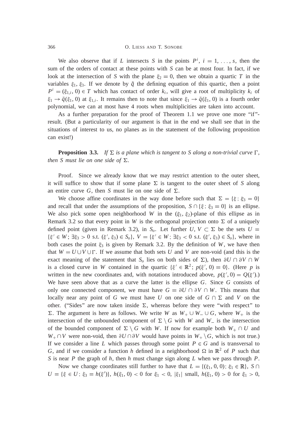We also observe that if *L* intersects *S* in the points  $P^i$ ,  $i = 1, \ldots, s$ , then the sum of the orders of contact at these points with *S* can be at most four. In fact, if we look at the intersection of *S* with the plane  $\xi_2 = 0$ , then we obtain a quartic *T* in the variables  $\xi_1, \xi_3$ . If we denote by  $\tilde{q}$  the defining equation of this quartic, then a point  $P^i = (\xi_{1,i}, 0) \in T$  which has contact of order  $k_i$ , will give a root of multiplicity  $k_i$  of  $\xi_1 \to \tilde{q}(\xi_1, 0)$  at  $\xi_{1,i}$ . It remains then to note that since  $\xi_1 \to \tilde{q}(\xi_1, 0)$  is a fourth order polynomial, we can at most have 4 roots when multiplicities are taken into account.

As a further preparation for the proof of Theorem 1.1 we prove one more "if" result. (But a particularity of our argument is that in the end we shall see that in the situations of interest to us, no planes as in the statement of the following proposition can exist!)

**Proposition 3.3.** *If*  $\Sigma$  *is a plane which is tangent to S along a non-trivial curve*  $\Gamma$ *, then S must lie on one side of*  $\Sigma$ *.* 

Proof. Since we already know that we may restrict attention to the outer sheet, it will suffice to show that if some plane  $\Sigma$  is tangent to the outer sheet of *S* along an entire curve G, then S must lie on one side of  $\Sigma$ .

We choose affine coordinates in the way done before such that  $\Sigma = {\xi$ ;  $\xi_3 = 0}$ and recall that under the assumptions of the proposition,  $S \cap {\{\xi : \xi_3 = 0\}}$  is an ellipse. We also pick some open neighborhood *W* in the  $(\xi_1, \xi_2)$ -plane of this ellipse as in Remark 3.2 so that every point in *W* is the orthogonal projection onto  $\Sigma$  of a uniquely defined point (given in Remark 3.2), in  $S$ <sup>0</sup>. Let further  $U, V \subset \Sigma$  be the sets  $U =$  $\{\xi' \in W: \exists \xi_3 > 0 \text{ s.t. } (\xi', \xi_3) \in S_o\}, V = \{\xi' \in W: \exists \xi_3 < 0 \text{ s.t. } (\xi', \xi_3) \in S_o\}, \text{ where in }$ both cases the point  $\xi_3$  is given by Remark 3.2. By the definition of *W*, we have then that  $W = U \cup V \cup \Gamma$ . If we assume that both sets *U* and *V* are non-void (and this is the exact meaning of the statement that  $S$ <sup>*o*</sup> lies on both sides of  $\Sigma$ ), then  $\partial U \cap \partial V \cap W$ is a closed curve in *W* contained in the quartic  $\{\xi' \in \mathbb{R}^2 : p(\xi', 0) = 0\}$ . (Here *p* is written in the new coordinates and, with notations introduced above,  $p(\xi', 0) = Q(\xi')$ . We have seen above that as a curve the latter is the ellipse *G*. Since *G* consists of only one connected component, we must have  $G = \partial U \cap \partial V \cap W$ . This means that locally near any point of *G* we must have *U* on one side of  $G \cap \Sigma$  and *V* on the other. ("Sides" are now taken inside  $\Sigma$ , whereas before they were "with respect" to  $\Sigma$ . The argument is here as follows. We write *W* as  $W_+ \cup W_- \cup G$ , where  $W_+$  is the intersection of the unbounded component of  $\Sigma \setminus G$  with *W* and *W*<sub>-</sub> is the intersection of the bounded component of  $\Sigma \setminus G$  with *W*. If now for example both  $W_+ \cap U$  and  $W_+ \cap V$  were non-void, then  $\partial U \cap \partial V$  would have points in  $W_+ \setminus G$ , which is not true.) If we consider a line *L* which passes through some point  $P \in G$  and is transversal to *G*, and if we consider a function *h* defined in a neighborhood  $\Omega$  in  $\mathbb{R}^2$  of *P* such that *S* is near *P* the graph of *h*, then *h* must change sign along *L* when we pass through *P*.

Now we change coordinates still further to have that  $L = \{(\xi_1, 0, 0); \xi_1 \in \mathbb{R}\}, S \cap$  $U = \{\xi \in U; \xi_3 = h(\xi')\}, h(\xi_1, 0) < 0 \text{ for } \xi_1 < 0, |\xi_1| \text{ small, } h(\xi_1, 0) > 0 \text{ for } \xi_1 > 0,$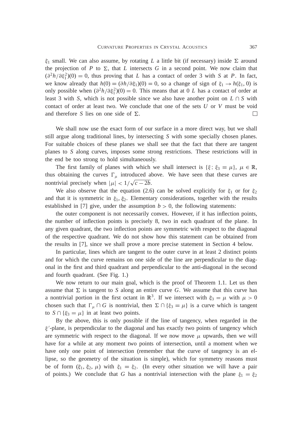$\xi_1$  small. We can also assume, by rotating *L* a little bit (if necessary) inside  $\Sigma$  around the projection of *P* to  $\Sigma$ , that *L* intersects *G* in a second point. We now claim that  $(\partial^2 h/\partial \xi_1^2)(0) = 0$ , thus proving that *L* has a contact of order 3 with *S* at *P*. In fact, we know already that  $h(0) = (\partial h/\partial \xi_1)(0) = 0$ , so a change of sign of  $\xi_1 \to h(\xi_1, 0)$  is only possible when  $(\partial^2 h/\partial \xi_1^2)(0) = 0$ . This means that at 0 *L* has a contact of order at least 3 with *S*, which is not possible since we also have another point on  $L \cap S$  with contact of order at least two. We conclude that one of the sets *U* or *V* must be void and therefore *S* lies on one side of  $\Sigma$ .  $\Box$ 

We shall now use the exact form of our surface in a more direct way, but we shall still argue along traditional lines, by intersecting *S* with some specially chosen planes. For suitable choices of these planes we shall see that the fact that there are tangent planes to *S* along curves, imposes some strong restrictions. These restrictions will in the end be too strong to hold simultaneously.

The first family of planes with which we shall intersect is  $\{\xi; \xi_3 = \mu\}, \mu \in \mathbb{R},$ thus obtaining the curves  $\Gamma_{\mu}$  introduced above. We have seen that these curves are nontrivial precisely when  $|\mu| < 1/\sqrt{c - 2b}$ .

We also observe that the equation (2.6) can be solved explicitly for  $\xi_1$  or for  $\xi_2$ and that it is symmetric in  $\xi_1$ ,  $\xi_2$ . Elementary considerations, together with the results established in [7] give, under the assumption  $b > 0$ , the following statements:

the outer component is not necessarily convex. However, if it has inflection points, the number of inflection points is precisely 8, two in each quadrant of the plane. In any given quadrant, the two inflection points are symmetric with respect to the diagonal of the respective quadrant. We do not show how this statement can be obtained from the results in [7], since we shall prove a more precise statement in Section 4 below.

In particular, lines which are tangent to the outer curve in at least 2 distinct points and for which the curve remains on one side of the line are perpendicular to the diagonal in the first and third quadrant and perpendicular to the anti-diagonal in the second and fourth quadrant. (See Fig. 1.)

We now return to our main goal, which is the proof of Theorem 1.1. Let us then assume that  $\Sigma$  is tangent to *S* along an entire curve *G*. We assume that this curve has a nontrivial portion in the first octant in  $\mathbb{R}^3$ . If we intersect with  $\xi_3 = \mu$  with  $\mu > 0$ chosen such that  $\Gamma_{\mu} \cap G$  is nontrivial, then  $\Sigma \cap {\{\xi_3 = \mu\}}$  is a curve which is tangent to  $S \cap {\xi_3 = \mu}$  in at least two points.

By the above, this is only possible if the line of tangency, when regarded in the  $\xi'$ -plane, is perpendicular to the diagonal and has exactly two points of tangency which are symmetric with respect to the diagonal. If we now move  $\mu$  upwards, then we will have for a while at any moment two points of intersection, until a moment when we have only one point of intersection (remember that the curve of tangency is an ellipse, so the geometry of the situation is simple), which for symmetry reasons must be of form  $(\xi_1, \xi_2, \mu)$  with  $\xi_1 = \xi_2$ . (In every other situation we will have a pair of points.) We conclude that *G* has a nontrivial intersection with the plane  $\xi_1 = \xi_2$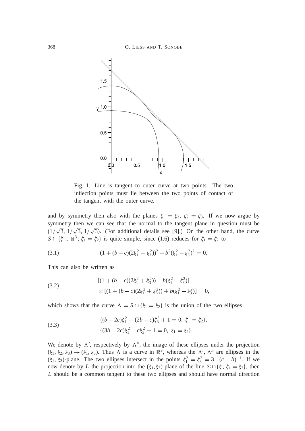

Fig. 1. Line is tangent to outer curve at two points. The two inflection points must lie between the two points of contact of the tangent with the outer curve.

and by symmetry then also with the planes  $\xi_1 = \xi_3$ ,  $\xi_2 = \xi_3$ . If we now argue by symmetry then we can see that the normal to the tangent plane in question must be  $(1/\sqrt{3}, 1/\sqrt{3}, 1/\sqrt{3})$ . (For additional details see [9].) On the other hand, the curve  $S \cap {\{\xi \in \mathbb{R}^3 \colon \xi_1 = \xi_2\}}$  is quite simple, since (1.6) reduces for  $\xi_1 = \xi_2$  to

(3.1) 
$$
(1 + (b - c)(2\xi_1^2 + \xi_3^2))^2 - b^2(\xi_1^2 - \xi_3^2)^2 = 0.
$$

This can also be written as

(3.2) 
$$
[(1 + (b - c)(2\xi_1^2 + \xi_3^2)) - b(\xi_1^2 - \xi_3^2)] \times [(1 + (b - c)(2\xi_1^2 + \xi_3^2)) + b(\xi_1^2 - \xi_3^2)] = 0,
$$

which shows that the curve  $\Lambda = S \cap {\{\xi_1 = \xi_2\}}$  is the union of the two ellipses

(3.3) 
$$
\{(b-2c)\xi_1^2 + (2b-c)\xi_3^2 + 1 = 0, \xi_1 = \xi_2\},\
$$

$$
\{(3b-2c)\xi_1^2 - c\xi_3^2 + 1 = 0, \xi_1 = \xi_2\}.
$$

We denote by  $\Lambda'$ , respectively by  $\Lambda''$ , the image of these ellipses under the projection  $(\xi_1, \xi_2, \xi_3) \rightarrow (\xi_1, \xi_3)$ . Thus  $\Lambda$  is a curve in  $\mathbb{R}^3$ , whereas the  $\Lambda'$ ,  $\Lambda''$  are ellipses in the  $(\xi_1, \xi_3)$ -plane. The two ellipses intersect in the points  $\xi_1^2 = \xi_3^2 = 3^{-1}(c - b)^{-1}$ . If we now denote by *L* the projection into the  $(\xi_1, \xi_3)$ -plane of the line  $\Sigma \cap {\{\xi : \xi_1 = \xi_2\}}$ , then *L* should be a common tangent to these two ellipses and should have normal direction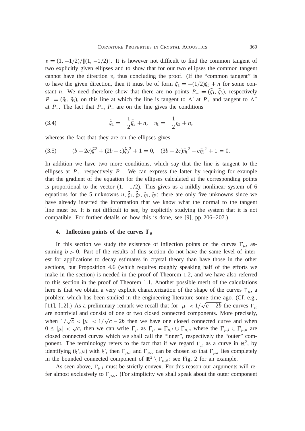$v = (1, -1/2)/\|(1, -1/2)\|$ . It is however not difficult to find the common tangent of two explicitly given ellipses and to show that for our two ellipses the common tangent cannot have the direction  $v$ , thus concluding the proof. (If the "common tangent" is to have the given direction, then it must be of form  $\xi_1 = -(1/2)\xi_3 + n$  for some constant *n*. We need therefore show that there are no points  $P_+ = (\xi_1, \xi_3)$ , respectively  $P_+ = (\tilde{\eta}_1, \tilde{\eta}_3)$ , on this line at which the line is tangent to  $\Lambda'$  at  $P_+$  and tangent to  $\Lambda''$ at  $P_{-}$ . The fact that  $P_{+}$ ,  $P_{-}$  are on the line gives the conditions

(3.4) 
$$
\tilde{\xi}_1 = -\frac{1}{2}\tilde{\xi}_3 + n, \quad \tilde{\eta}_1 = -\frac{1}{2}\tilde{\eta}_3 + n,
$$

whereas the fact that they are on the ellipses gives

(3.5) 
$$
(b-2c)\tilde{\xi}^2 + (2b-c)\tilde{\xi}_3^2 + 1 = 0, \quad (3b-2c)\tilde{\eta}_1^2 - c\tilde{\eta}_3^2 + 1 = 0.
$$

In addition we have two more conditions, which say that the line is tangent to the ellipses at  $P_+$ , respectively  $P_-$ . We can express the latter by requiring for example that the gradient of the equation for the ellipses calculated at the corresponding points is proportional to the vector  $(1, -1/2)$ . This gives us a mildly nonlinear system of 6 equations for the 5 unknowns *n*,  $\xi_1$ ,  $\xi_2$ ,  $\tilde{\eta}_1$ ,  $\tilde{\eta}_2$ : there are only five unknowns since we have already inserted the information that we know what the normal to the tangent line must be. It is not difficult to see, by explicitly studying the system that it is not compatible. For further details on how this is done, see [9], pp. 206–207.)

### **4.** Inflection points of the curves  $\Gamma_{\mu}$

In this section we study the existence of inflection points on the curves  $\Gamma_{\mu}$ , assuming  $b > 0$ . Part of the results of this section do not have the same level of interest for applications to decay estimates in crystal theory than have those in the other sections, but Proposition 4.6 (which requires roughly speaking half of the efforts we make in the section) is needed in the proof of Theorem 1.2, and we have also referred to this section in the proof of Theorem 1.1. Another possible merit of the calculations here is that we obtain a very explicit characterization of the shape of the curves  $\Gamma_{\mu}$ , a problem which has been studied in the engineering literature some time ago. (Cf. e.g., [11], [12].) As a preliminary remark we recall that for  $|\mu| < 1/\sqrt{c-2b}$  the curves  $\Gamma_{\mu}$ are nontrivial and consist of one or two closed connected components. More precisely, when  $1/\sqrt{c} < |\mu| < 1/\sqrt{c-2b}$  then we have one closed connected curve and when  $0 \leq |\mu| < \sqrt{c}$ , then we can write  $\Gamma_{\mu}$  as  $\Gamma_{\mu} = \Gamma_{\mu,i} \cup \Gamma_{\mu,o}$  where the  $\Gamma_{\mu,i} \cup \Gamma_{\mu,o}$  are closed connected curves which we shall call the "inner", respectively the "outer" component. The terminology refers to the fact that if we regard  $\Gamma_{\mu}$  as a curve in  $\mathbb{R}^{2}$ , by identifying  $(\xi', \mu)$  with  $\xi'$ , then  $\Gamma_{\mu,i}$  and  $\Gamma_{\mu,o}$  can be chosen so that  $\Gamma_{\mu,i}$  lies completely in the bounded connected component of  $\mathbb{R}^2 \setminus \Gamma_{\mu,o}$ : see Fig. 2 for an example.

As seen above,  $\Gamma_{\mu,i}$  must be strictly convex. For this reason our arguments will refer almost exclusively to  $\Gamma_{\mu,o}$ . (For simplicity we shall speak about the outer component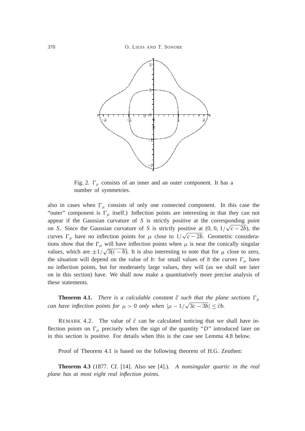

Fig. 2.  $\Gamma_{\mu}$  consists of an inner and an outer component. It has a number of symmetries.

also in cases when  $\Gamma_{\mu}$  consists of only one connected component. In this case the "outer" component is  $\Gamma_{\mu}$  itself.) Inflection points are interesting in that they can not appear if the Gaussian curvature of *S* is strictly positive at the corresponding point on *S*. Since the Gaussian curvature of *S* is strictly positive at  $(0, 0, 1/\sqrt{c-2b})$ , the curves  $\Gamma_{\mu}$  have no inflection points for  $\mu$  close to  $1/\sqrt{c-2b}$ . Geometric considerations show that the  $\Gamma_{\mu}$  will have inflection points when  $\mu$  is near the conically singular values, which are  $\pm 1/\sqrt{3(c - b)}$ . It is also interesting to note that for  $\mu$  close to zero, the situation will depend on the value of *b*: for small values of *b* the curves  $\Gamma_{\mu}$  have no inflection points, but for moderately large values, they will (as we shall see later on in this section) have. We shall now make a quantitatively more precise analysis of these statements.

**Theorem 4.1.** *There is a calculable constant*  $\tilde{c}$  *such that the plane sections*  $\Gamma_{\mu}$ *can have inflection points for*  $\mu > 0$  *only when*  $|\mu - 1/\sqrt{3c - 3b}| \leq \tilde{c}b$ .

REMARK 4.2. The value of  $\tilde{c}$  can be calculated noticing that we shall have inflection points on  $\Gamma_{\mu}$  precisely when the sign of the quantity "*D*" introduced later on in this section is positive. For details when this is the case see Lemma 4.8 below.

Proof of Theorem 4.1 is based on the following theorem of H.G. Zeuthen:

**Theorem 4.3** (1877. Cf. [14]. Also see [4].). *A nonsingular quartic in the real plane has at most eight real inflection points.*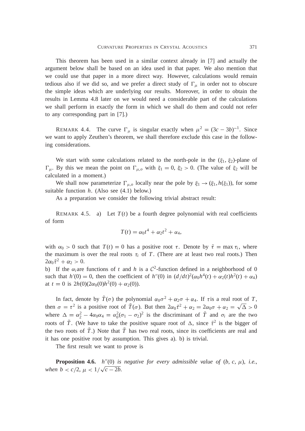This theorem has been used in a similar context already in [7] and actually the argument below shall be based on an idea used in that paper. We also mention that we could use that paper in a more direct way. However, calculations would remain tedious also if we did so, and we prefer a direct study of  $\Gamma_{\mu}$  in order not to obscure the simple ideas which are underlying our results. Moreover, in order to obtain the results in Lemma 4.8 later on we would need a considerable part of the calculations we shall perform in exactly the form in which we shall do them and could not refer to any corresponding part in [7].)

REMARK 4.4. The curve  $\Gamma_{\mu}$  is singular exactly when  $\mu^2 = (3c - 3b)^{-1}$ . Since we want to apply Zeuthen's theorem, we shall therefore exclude this case in the following considerations.

We start with some calculations related to the north-pole in the  $(\xi_1, \xi_2)$ -plane of  $\Gamma_{\mu}$ . By this we mean the point on  $\Gamma_{\mu,o}$  with  $\xi_1 = 0$ ,  $\xi_2 > 0$ . (The value of  $\xi_2$  will be calculated in a moment.)

We shall now parameterize  $\Gamma_{\mu,o}$  locally near the pole by  $\xi_1 \rightarrow (\xi_1, h(\xi_1))$ , for some suitable function *h*. (Also see (4.1) below.)

As a preparation we consider the following trivial abstract result:

REMARK 4.5. a) Let  $T(t)$  be a fourth degree polynomial with real coefficients of form

$$
T(t) = \alpha_0 t^4 + \alpha_2 t^2 + \alpha_4,
$$

with  $\alpha_0 > 0$  such that  $T(t) = 0$  has a positive root  $\tau$ . Denote by  $\tilde{\tau} = \max \tau_i$ , where the maximum is over the real roots  $\tau_i$  of *T*. (There are at least two real roots.) Then  $2\alpha_0\tilde{\tau}^2+\alpha_2>0.$ 

b) If the  $\alpha_i$  are functions of *t* and *h* is a  $C^2$ -function defined in a neighborhood of 0 such that  $h'(0) = 0$ , then the coefficient of  $h''(0)$  in  $\left(\frac{d}{dt}\right)^2 \left(\frac{\alpha_0 h^4(t)}{t} + \frac{\alpha_2(t)h^2(t)}{t} + \alpha_4\right)$ at  $t = 0$  is  $2h(0)(2\alpha_0(0)h^2(0) + \alpha_2(0)).$ 

In fact, denote by  $\tilde{T}(\sigma)$  the polynomial  $\alpha_0 \sigma^2 + \alpha_2 \sigma + \alpha_4$ . If *t* is a real root of *T*, then  $\sigma = \tau^2$  is a positive root of  $\tilde{T}(\sigma)$ . But then  $2\alpha_0 \tilde{\tau}^2 + \alpha_2 = 2\alpha_0 \sigma + \alpha_2 = \sqrt{\Delta} > 0$ where  $\Delta = \alpha_2^2 - 4\alpha_0\alpha_4 = \alpha_0^2(\sigma_1 - \sigma_2)^2$  is the discriminant of  $\tilde{T}$  and  $\sigma_i$  are the two roots of  $\tilde{T}$ . (We have to take the positive square root of  $\Delta$ , since  $\tilde{\tau}^2$  is the bigger of the two roots of  $T$ .) Note that  $T$  has two real roots, since its coefficients are real and it has one positive root by assumption. This gives a). b) is trivial.

The first result we want to prove is

**Proposition 4.6.**  $h''(0)$  *is negative for every admissible value of*  $(b, c, \mu)$ *, i.e., when*  $b < c/2, \mu < 1/\sqrt{c-2b}$ .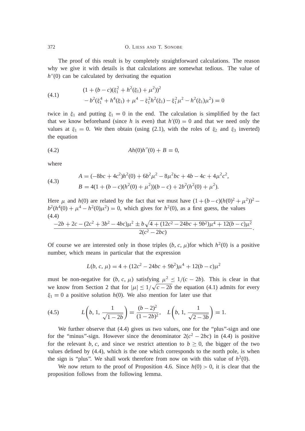The proof of this result is by completely straightforward calculations. The reason why we give it with details is that calculations are somewhat tedious. The value of  $h''(0)$  can be calculated by derivating the equation

(4.1) 
$$
(1 + (b - c)(\xi_1^2 + h^2(\xi_1) + \mu^2))^2 - b^2(\xi_1^4 + h^4(\xi_1) + \mu^4 - \xi_1^2 h^2(\xi_1) - \xi_1^2 \mu^2 - h^2(\xi_1)\mu^2) = 0
$$

twice in  $\xi_1$  and putting  $\xi_1 = 0$  in the end. The calculation is simplified by the fact that we know beforehand (since *h* is even) that  $h'(0) = 0$  and that we need only the values at  $\xi_1 = 0$ . We then obtain (using (2.1), with the roles of  $\xi_2$  and  $\xi_3$  inverted) the equation

$$
(4.2) \t\t Ah(0)h''(0) + B = 0,
$$

where

(4.3) 
$$
A = (-8bc + 4c^2)h^2(0) + 6b^2\mu^2 - 8\mu^2bc + 4b - 4c + 4\mu^2c^2,
$$

$$
B = 4(1 + (b - c)(h^2(0) + \mu^2))(b - c) + 2b^2(h^2(0) + \mu^2).
$$

Here  $\mu$  and *h*(0) are related by the fact that we must have  $(1 + (b - c)(h(0)^2 + \mu^2))^2$  $b^2(h^4(0) + \mu^4 - h^2(0)\mu^2) = 0$ , which gives for  $h^2(0)$ , as a first guess, the values (4.4) <u>provided and the second second and second and second and second and second and second and second and second a</u>

$$
\frac{-2b+2c-(2c^2+3b^2-4bc)\mu^2 \pm b\sqrt{4+(12c^2-24bc+9b^2)\mu^4+12(b-c)\mu^2}}{2(c^2-2bc)}.
$$

Of course we are interested only in those triples  $(b, c, \mu)$  for which  $h^2(0)$  is a positive number, which means in particular that the expression

$$
L(b, c, \mu) = 4 + (12c^2 - 24bc + 9b^2)\mu^4 + 12(b - c)\mu^2
$$

must be non-negative for  $(b, c, \mu)$  satisfying  $\mu^2 \le 1/(c - 2b)$ . This is clear in that we know from Section 2 that for  $|\mu| \leq 1/\sqrt{c-2b}$  the equation (4.1) admits for every  $\xi_1 = 0$  a positive solution *h*(0). We also mention for later use that

(4.5) 
$$
L\left(b, 1, \frac{1}{\sqrt{1-2b}}\right) = \frac{(b-2)^2}{(1-2b)^2}, \quad L\left(b, 1, \frac{1}{\sqrt{2-3b}}\right) = 1.
$$

We further observe that (4.4) gives us two values, one for the "plus"-sign and one for the "minus"-sign. However since the denominator  $2(c^2 - 2bc)$  in (4.4) is positive for the relevant *b*, *c*, and since we restrict attention to  $b \geq 0$ , the bigger of the two values defined by (4.4), which is the one which corresponds to the north pole, is when the sign is "plus". We shall work therefore from now on with this value of  $h^2(0)$ .

We now return to the proof of Proposition 4.6. Since  $h(0) > 0$ , it is clear that the proposition follows from the following lemma.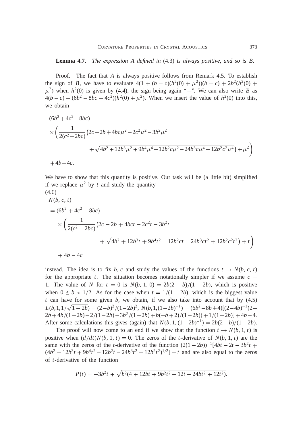#### **Lemma 4.7.** *The expression A defined in* (4.3) *is always positive*, *and so is B.*

Proof. The fact that *A* is always positive follows from Remark 4.5. To establish the sign of *B*, we have to evaluate  $4(1 + (b - c)(h^2(0) + \mu^2))(b - c) + 2b^2(h^2(0) +$  $\mu^2$ ) when  $h^2(0)$  is given by (4.4), the sign being again "+". We can also write *B* as  $4(b - c) + (6b^2 - 8bc + 4c^2)(h^2(0) + \mu^2)$ . When we insert the value of  $h^2(0)$  into this, we obtain

$$
(6b2 + 4c2 - 8bc)
$$
  
\n
$$
\times \left(\frac{1}{2(c2 - 2bc)}(2c - 2b + 4bc\mu2 - 2c2\mu2 - 3b2\mu2 \n+ \sqrt{4b2 + 12b3\mu2 + 9b4\mu4 - 12b2c\mu2 - 24b3c\mu4 + 12b2c2\mu4) + \mu2\right)
$$

 $+4b-4c$ .

We have to show that this quantity is positive. Our task will be (a little bit) simplified if we replace  $\mu^2$  by *t* and study the quantity

$$
(4.6)
$$

$$
N(b, c, t)
$$
  
=  $(6b^2 + 4c^2 - 8bc)$   

$$
\times \left(\frac{1}{2(c^2 - 2bc)}(2c - 2b + 4bct - 2c^2t - 3b^2t + \sqrt{4b^2 + 12b^3t + 9b^4t^2 - 12b^2ct - 24b^3ct^2 + 12b^2c^2t^2}) + t\right)
$$
  
+  $4b - 4c$ 

instead. The idea is to fix *b*, *c* and study the values of the functions  $t \rightarrow N(b, c, t)$ for the appropriate *t*. The situation becomes notationally simpler if we assume  $c =$ 1. The value of *N* for  $t = 0$  is  $N(b, 1, 0) = 2b(2 - b)/(1 - 2b)$ , which is positive when  $0 \le b < 1/2$ . As for the case when  $t = 1/(1 - 2b)$ , which is the biggest value *t* can have for some given *b*, we obtain, if we also take into account that by (4.5)  $L(b, 1, 1/\sqrt{1-2b}) = (2-b)^2/(1-2b)^2$ ,  $N(b, 1, (1-2b)^{-1}) = (6b^2-8b+4)[(2-4b)^{-1}(2-b)^{-1}]$  $2b+4b/(1-2b)-2/(1-2b)-3b^2/(1-2b)+b(-b+2)/(1-2b))+1/(1-2b)+4b-4.$ After some calculations this gives (again) that  $N(b, 1, (1-2b)^{-1}) = 2b(2-b)/(1-2b)$ .

The proof will now come to an end if we show that the function  $t \rightarrow N(b, 1, t)$  is positive when  $(d/dt)N(b, 1, t) = 0$ . The zeros of the *t*-derivative of  $N(b, 1, t)$  are the same with the zeros of the *t*-derivative of the function  $(2(1-2b))^{-1}[4bt - 2t - 3b^2t +$  $(4b^2 + 12b^3t + 9b^4t^2 - 12b^2t - 24b^3t^2 + 12b^2t^2)^{1/2}$  + t and are also equal to the zeros of *t*-derivative of the function

$$
P(t) = -3b^2t + \sqrt{b^2(4+12bt+9b^2t^2-12t-24bt^2+12t^2)}.
$$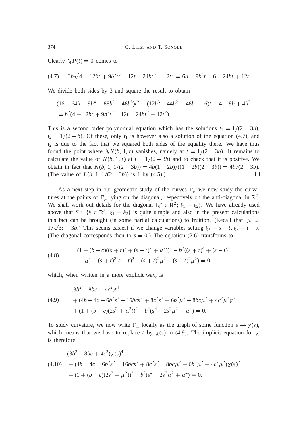Clearly  $\partial_t P(t) = 0$  comes to

$$
(4.7) \quad 3b\sqrt{4+12bt+9b^2t^2-12t-24bt^2+12t^2} = 6b+9b^2t-6-24bt+12t.
$$

We divide both sides by 3 and square the result to obtain

$$
(16 - 64b + 9b4 + 88b2 - 48b3)t2 + (12b3 - 44b2 + 48b - 16)t + 4 - 8b + 4b2
$$
  
= b<sup>2</sup>(4 + 12bt + 9b<sup>2</sup>t<sup>2</sup> - 12t - 24bt<sup>2</sup> + 12t<sup>2</sup>).

This is a second order polynomial equation which has the solutions  $t_1 = 1/(2 - 3b)$ ,  $t_2 = 1/(2 - b)$ . Of these, only  $t_1$  is however also a solution of the equation (4.7), and  $t_2$  is due to the fact that we squared both sides of the equality there. We have thus found the point where  $\partial_t N(b, 1, t)$  vanishes, namely at  $t = 1/(2 - 3b)$ . It remains to calculate the value of  $N(b, 1, t)$  at  $t = 1/(2 - 3b)$  and to check that it is positive. We obtain in fact that  $N(b, 1, 1/(2 - 3b)) = \frac{4b(1 - 2b)}{1 - 2b} = \frac{4b(2 - 3b)}{2 - 3b} = \frac{4b}{2 - 3b}$ . (The value of  $L(b, 1, 1/(2 - 3b))$  is 1 by (4.5).)  $\Box$ 

As a next step in our geometric study of the curves  $\Gamma_{\mu}$  we now study the curvatures at the points of  $\Gamma_{\mu}$  lying on the diagonal, respectively on the anti-diagonal in  $\mathbb{R}^{2}$ . We shall work out details for the diagonal  $\{\xi' \in \mathbb{R}^2 : \xi_1 = \xi_2\}$ . We have already used above that  $S \cap {\{\xi \in \mathbb{R}^3 \colon \xi_1 = \xi_2\}}$  is quite simple and also in the present calculations this fact can be brought (in some partial calculations) to fruition. (Recall that  $|\mu| \neq$  $1/\sqrt{3c - 3b}$ .) This seems easiest if we change variables setting  $\xi_1 = s + t$ ,  $\xi_2 = t - s$ . (The diagonal corresponds then to  $s = 0$ .) The equation (2.6) transforms to

(4.8) 
$$
(1 + (b - c)((s + t)^2 + (s - t)^2 + \mu^2))^2 - b^2((s + t)^4 + (s - t)^4 + \mu^4 - (s + t)^2(s - t)^2 - (s + t)^2\mu^2 - (s - t)^2\mu^2) = 0,
$$

which, when written in a more explicit way, is

(4.9) 
$$
(3b^2 - 8bc + 4c^2)t^4
$$

$$
+ (4b - 4c - 6b^2s^2 - 16bcs^2 + 8c^2s^2 + 6b^2\mu^2 - 8bc\mu^2 + 4c^2\mu^2)t^2
$$

$$
+ (1 + (b - c)(2s^2 + \mu^2))^2 - b^2(s^4 - 2s^2\mu^2 + \mu^4) = 0.
$$

To study curvature, we now write  $\Gamma_{\mu}$  locally as the graph of some function  $s \to \chi(s)$ , which means that we have to replace *t* by  $\chi(s)$  in (4.9). The implicit equation for  $\chi$ is therefore

$$
(3b2 - 8bc + 4c2)\chi(s)4
$$
  
(4.10) + (4b - 4c - 6b<sup>2</sup>s<sup>2</sup> - 16bcs<sup>2</sup> + 8c<sup>2</sup>s<sup>2</sup> - 8bc $\mu$ <sup>2</sup> + 6b<sup>2</sup> $\mu$ <sup>2</sup> + 4c<sup>2</sup> $\mu$ <sup>2</sup>) $\chi$ (s)<sup>2</sup>  
+ (1 + (b - c)(2s<sup>2</sup> +  $\mu$ <sup>2</sup>))<sup>2</sup> - b<sup>2</sup>(s<sup>4</sup> - 2s<sup>2</sup> $\mu$ <sup>2</sup> +  $\mu$ <sup>4</sup>)  $\equiv$  0.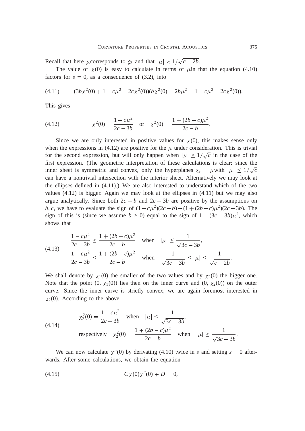Recall that here *µ* corresponds to  $\xi_3$  and that  $|\mu| < 1/\sqrt{c - 2b}$ .

The value of  $\chi$  (0) is easy to calculate in terms of  $\mu$  in that the equation (4.10) factors for  $s = 0$ , as a consequence of (3.2), into

$$
(4.11) \qquad (3b\chi^2(0) + 1 - c\mu^2 - 2c\chi^2(0))(b\chi^2(0) + 2b\mu^2 + 1 - c\mu^2 - 2c\chi^2(0)).
$$

This gives

(4.12) 
$$
\chi^2(0) = \frac{1 - c\mu^2}{2c - 3b} \quad \text{or} \quad \chi^2(0) = \frac{1 + (2b - c)\mu^2}{2c - b}.
$$

Since we are only interested in positive values for  $\chi(0)$ , this makes sense only when the expressions in (4.12) are positive for the  $\mu$  under consideration. This is trivial for the second expression, but will only happen when  $|\mu| \leq 1/\sqrt{c}$  in the case of the first expression. (The geometric interpretation of these calculations is clear: since the inner sheet is symmetric and convex, only the hyperplanes  $\xi_3 = \mu$  with  $|\mu| \leq 1/\sqrt{c}$ can have a nontrivial intersection with the interior sheet. Alternatively we may look at the ellipses defined in (4.11).) We are also interested to understand which of the two values  $(4.12)$  is bigger. Again we may look at the ellipses in  $(4.11)$  but we may also argue analytically. Since both  $2c - b$  and  $2c - 3b$  are positive by the assumptions on *b*, *c*, we have to evaluate the sign of  $(1 - c\mu^2)(2c - b) - (1 + (2b - c)\mu^2)(2c - 3b)$ . The sign of this is (since we assume  $b \ge 0$ ) equal to the sign of  $1 - (3c - 3b)\mu^2$ , which shows that

$$
\frac{1 - c\mu^2}{2c - 3b} \ge \frac{1 + (2b - c)\mu^2}{2c - b} \quad \text{when} \quad |\mu| \le \frac{1}{\sqrt{3c - 3b}},
$$
\n
$$
\frac{1 - c\mu^2}{2c - 3b} \le \frac{1 + (2b - c)\mu^2}{2c - b} \quad \text{when} \quad \frac{1}{\sqrt{3c - 3b}} \le |\mu| \le \frac{1}{\sqrt{c - 2b}}
$$

We shall denote by  $\chi_1(0)$  the smaller of the two values and by  $\chi_2(0)$  the bigger one. Note that the point  $(0, \chi_1(0))$  lies then on the inner curve and  $(0, \chi_2(0))$  on the outer curve. Since the inner curve is strictly convex, we are again foremost interested in  $\chi_2(0)$ . According to the above,

(4.14) 
$$
\chi_2^2(0) = \frac{1 - c\mu^2}{2c - 3b} \quad \text{when} \quad |\mu| \le \frac{1}{\sqrt{3c - 3b}},
$$

$$
\text{respectively} \quad \chi_2^2(0) = \frac{1 + (2b - c)\mu^2}{2c - b} \quad \text{when} \quad |\mu| \ge \frac{1}{\sqrt{3c - 3b}}
$$

We can now calculate  $\chi''(0)$  by derivating (4.10) twice in *s* and setting  $s = 0$  afterwards. After some calculations, we obtain the equation

(4.15) 
$$
C\chi(0)\chi''(0) + D = 0,
$$

.

.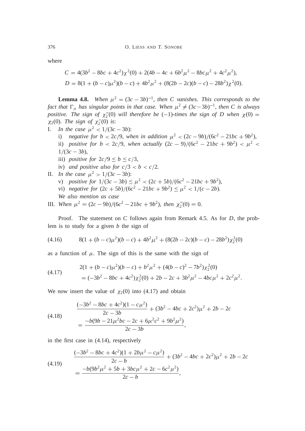where

$$
C = 4(3b2 - 8bc + 4c2)\chi2(0) + 2(4b - 4c + 6b2\mu2 - 8bc\mu2 + 4c2\mu2),
$$
  

$$
D = 8(1 + (b - c)\mu2)(b - c) + 4b2\mu2 + (8(2b - 2c)(b - c) - 28b2)\chi2(0).
$$

**Lemma 4.8.** When  $\mu^2 = (3c - 3b)^{-1}$ , then C vanishes. This corresponds to the *fact that*  $\Gamma_{\mu}$  *has singular points in that case. When*  $\mu^2 \neq (3c - 3b)^{-1}$ *, then C is always positive. The sign of*  $\chi''_2(0)$  will therefore be  $(-1)$ -times the sign of D when  $\chi(0)$  =  $\chi_2(0)$ *. The sign of*  $\chi_2''(0)$  *is*:

- I. *In the case*  $\mu^2 < 1/(3c 3b)$ : i) *negative for b* < 2*c*/9, *when in addition*  $\mu^2$  < (2*c* – 9*b*)/(6*c*<sup>2</sup> – 21*bc* + 9*b*<sup>2</sup>), ii) *positive for b* < 2*c*/9, *when actually*  $(2c - 9)/(6c^2 - 21bc + 9b^2)$  <  $\mu^2$  <  $1/(3c - 3b)$ ,
	- iii) *positive for*  $2c/9 \le b \le c/3$ ,
	- iv) *and positive also for*  $c/3 < b < c/2$ *.*
- II. *In the case*  $\mu^2 > 1/(3c 3b)$ :
	- v) positive for  $1/(3c 3b) \le \mu^2 < (2c + 5b)/(6c^2 21bc + 9b^2)$ ,
	- vi) *negative for*  $(2c + 5b)/(6c^2 21bc + 9b^2) \le \mu^2 < 1/(c 2b)$ .
	- *We also mention as case*
- III. *When*  $\mu^2 = (2c 9b)/(6c^2 21bc + 9b^2)$ , *then*  $\chi_2''(0) = 0$ .

Proof. The statement on *C* follows again from Remark 4.5. As for *D*, the problem is to study for a given *b* the sign of

$$
(4.16) \qquad 8(1 + (b - c)\mu^2)(b - c) + 4b^2\mu^2 + (8(2b - 2c)(b - c) - 28b^2)\chi_2^2(0)
$$

as a function of  $\mu$ . The sign of this is the same with the sign of

(4.17) 
$$
2(1 + (b - c)\mu^{2})(b - c) + b^{2}\mu^{2} + (4(b - c)^{2} - 7b^{2})\chi_{2}^{2}(0)
$$

$$
= (-3b^{2} - 8bc + 4c^{2})\chi_{2}^{2}(0) + 2b - 2c + 3b^{2}\mu^{2} - 4bc\mu^{2} + 2c^{2}\mu^{2}.
$$

We now insert the value of  $\chi_2(0)$  into (4.17) and obtain

$$
\frac{(-3b^2 - 8bc + 4c^2)(1 - c\mu^2)}{2c - 3b} + (3b^2 - 4bc + 2c^2)\mu^2 + 2b - 2c
$$
\n
$$
= \frac{-b(9b - 21\mu^2bc - 2c + 6\mu^2c^2 + 9b^2\mu^2)}{2c - 3b},
$$

in the first case in (4.14), respectively

$$
\frac{(-3b^2 - 8bc + 4c^2)(1 + 2b\mu^2 - c\mu^2)}{2c - b} + (3b^2 - 4bc + 2c^2)\mu^2 + 2b - 2c
$$
\n
$$
= \frac{-b(9b^2\mu^2 + 5b + 3bc\mu^2 + 2c - 6c^2\mu^2)}{2c - b},
$$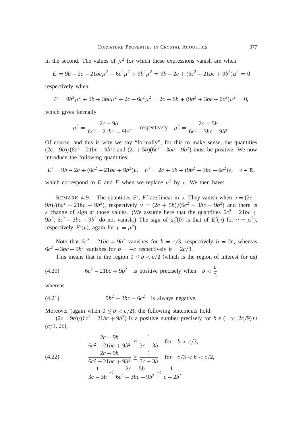in the second. The values of  $\mu^2$  for which these expressions vanish are when

$$
E = 9b - 2c - 21bc\mu^2 + 6c^2\mu^2 + 9b^2\mu^2 = 9b - 2c + (6c^2 - 21bc + 9b^2)\mu^2 = 0
$$

respectively when

$$
F = 9b^2\mu^2 + 5b + 3bc\mu^2 + 2c - 6c^2\mu^2 = 2c + 5b + (9b^2 + 3bc - 6c^2)\mu^2 = 0,
$$

which gives formally

$$
\mu^2 = \frac{2c - 9b}{6c^2 - 21bc + 9b^2}, \quad \text{respectively} \quad \mu^2 = \frac{2c + 5b}{6c^2 - 3bc - 9b^2}.
$$

Of course, and this is why we say "formally", for this to make sense, the quantities  $(2c - 9b)/(6c^2 - 21bc + 9b^2)$  and  $(2c + 5b)(6c^2 - 3bc - 9b^2)$  must be positive. We now introduce the following quantities:

$$
E' = 9b - 2c + (6c^2 - 21bc + 9b^2)v, \quad F' = 2c + 5b + (9b^2 + 3bc - 6c^2)v, \quad v \in \mathbb{R},
$$

which correspond to *E* and *F* when we replace  $\mu^2$  by *v*. We then have:

REMARK 4.9. The quantities E', F' are linear in v. They vanish when  $v = (2c 9b)/(6c^2 - 21bc + 9b^2)$ , respectively  $v = (2c + 5b)/(6c^2 - 3bc - 9b^2)$  and there is a change of sign at those values. (We assume here that the quantities  $6c^2 - 21bc$  +  $9b^2$ ,  $6c^2 - 3bc - 9b^2$  do not vanish.) The sign of  $\chi_2''(0)$  is that of  $E'(v)$  for  $v = \mu^2$ ), respectively  $F'(v)$ , again for  $v = \mu^2$ ).

Note that  $6c^2 - 21bc + 9b^2$  vanishes for  $b = c/3$ , respectively  $b = 2c$ , whereas  $6c^2 - 3bc - 9b^2$  vanishes for  $b = -c$  respectively  $b = 2c/3$ .

This means that in the region  $0 \leq b < c/2$  (which is the region of interest for us)

(4.20) 
$$
6c^2 - 21bc + 9b^2
$$
 is positive precisely when  $b < \frac{c}{3}$ 

whereas

$$
(4.21) \t\t 9b2 + 3bc - 6c2 \t is always negative.
$$

Moreover (again when  $0 \leq b < c/2$ ), the following statements hold:

 $(2c - 9b)/(6c^2 - 21bc + 9b^2)$  is a positive number precisely for  $b \in (-\infty, 2c/9)$  U  $(c/3, 2c)$ ,

(4.22) 
$$
\frac{2c - 9b}{6c^2 - 21bc + 9b^2} \le \frac{1}{3c - 3b} \quad \text{for} \quad b < c/3,
$$
\n
$$
\frac{2c - 9b}{6c^2 - 21bc + 9b^2} \ge \frac{1}{3c - 3b} \quad \text{for} \quad c/3 < b < c/2,
$$
\n
$$
\frac{1}{3c - 3b} \le \frac{2c + 5b}{6c^2 - 3bc - 9b^2} \le \frac{1}{c - 2b}.
$$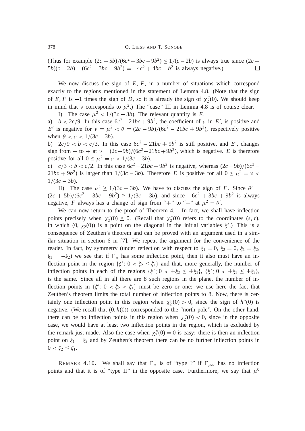(Thus for example  $(2c + 5b)/(6c^2 - 3bc - 9b^2) \le 1/(c - 2b)$  is always true since  $(2c +$  $(5b)(c - 2b) - (6c^2 - 3bc - 9b^2) = -4c^2 + 4bc - b^2$  is always negative.)  $\Box$ 

We now discuss the sign of *E*, *F*, in a number of situations which correspond exactly to the regions mentioned in the statement of Lemma 4.8. (Note that the sign of *E*, *F* is  $-1$  times the sign of *D*, so it is already the sign of  $\chi''_2(0)$ . We should keep in mind that v corresponds to  $\mu^2$ .) The "case" III in Lemma 4.8 is of course clear.

I) The case  $\mu^2 < 1/(3c - 3b)$ . The relevant quantity is *E*.

a)  $b < 2c/9$ . In this case  $6c^2 - 21bc + 9b^2$ , the coefficient of  $\nu$  in *E'*, is positive and *E*<sup>'</sup> is negative for  $\nu = \mu^2 < \theta = (2c - 9b)/(6c^2 - 21bc + 9b^2)$ , respectively positive when  $\theta < \nu < 1/(3c - 3b)$ .

b)  $2c/9 < b < c/3$ . In this case  $6c^2 - 21bc + 9b^2$  is still positive, and *E'*, changes sign from  $-$  to  $+$  at  $\nu = (2c - 9b)/(6c^2 - 21bc + 9b^2)$ , which is negative. *E* is therefore positive for all  $0 \le \mu^2 = \nu < 1/(3c - 3b)$ .

c)  $c/3 < b < c/2$ . In this case  $6c^2 - 21bc + 9b^2$  is negative, whereas  $(2c - 9b)/(6c^2 21bc + 9b^2$ ) is larger than  $1/(3c - 3b)$ . Therefore *E* is positive for all  $0 \le \mu^2 = \nu$  $1/(3c - 3b)$ .

II) The case  $\mu^2 \ge 1/(3c - 3b)$ . We have to discuss the sign of *F*. Since  $\theta' =$  $(2c + 5b)/(6c^2 - 3bc - 9b^2) \ge 1/(3c - 3b)$ , and since  $-6c^2 + 3bc + 9b^2$  is always negative, *F* always has a change of sign from "+" to "-" at  $\mu^2 = \theta'$ .

We can now return to the proof of Theorem 4.1. In fact, we shall have inflection points precisely when  $\chi_2''(0) \geq 0$ . (Recall that  $\chi_2''(0)$  refers to the coordinates  $(s, t)$ , in which  $(0, \chi_2(0))$  is a point on the diagonal in the initial variables  $\xi'$ . This is a consequence of Zeuthen's theorem and can be proved with an argument used in a similar situation in section 6 in [7]. We repeat the argument for the convenience of the reader. In fact, by symmetry (under reflection with respect to  $\xi_1 = 0$ ,  $\xi_2 = 0$ ,  $\xi_1 = \xi_2$ ,  $\xi_1 = -\xi_2$ ) we see that if  $\Gamma_\mu$  has some inflection point, then it also must have an inflection point in the region  $\{\xi' : 0 < \xi_2 \leq \xi_1\}$  and that, more generally, the number of inflection points in each of the regions  $\{\xi', 0 < \pm \xi_2 \leq \pm \xi_1\}$ ,  $\{\xi', 0 < \pm \xi_1 \leq \pm \xi_2\}$ , is the same. Since all in all there are 8 such regions in the plane, the number of inflection points in  $\{\xi', 0 < \xi_2 < \xi_1\}$  must be zero or one: we use here the fact that Zeuthen's theorem limits the total number of inflection points to 8. Now, there is certainly one inflection point in this region when  $\chi_2''(0) > 0$ , since the sign of  $h''(0)$  is negative. (We recall that (0, *h*(0)) corresponded to the "north pole". On the other hand, there can be no inflection points in this region when  $\chi_2''(0) < 0$ , since in the opposite case, we would have at least two inflection points in the region, which is excluded by the remark just made. Also the case when  $\chi_2''(0) = 0$  is easy: there is then an inflection point on  $\xi_1 = \xi_2$  and by Zeuthen's theorem there can be no further inflection points in  $0 < \xi_2 \leq \xi_1$ .

REMARK 4.10. We shall say that  $\Gamma_{\mu}$  is of "type I" if  $\Gamma_{\mu,o}$  has no inflection points and that it is of "type II" in the opposite case. Furthermore, we say that  $\mu^0$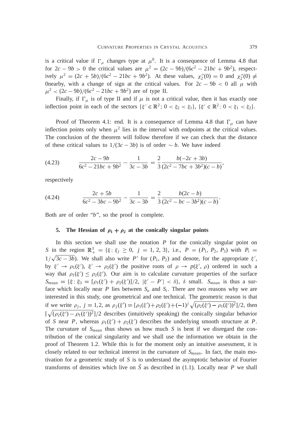is a critical value if  $\Gamma_{\mu}$  changes type at  $\mu^{0}$ . It is a consequence of Lemma 4.8 that for  $2c - 9b > 0$  the critical values are  $\mu^2 = (2c - 9b)/(6c^2 - 21bc + 9b^2)$ , respectively  $\mu^2 = (2c + 5b)/(6c^2 - 21bc + 9b^2)$ . At these values,  $\chi''_2(0) = 0$  and  $\chi''_2(0) \neq 0$ 0nearby, with a change of sign at the critical values. For  $2c - 9b < 0$  all  $\mu$  with  $\mu^2 < (2c - 9b)/(6c^2 - 21bc + 9b^2)$  are of type II.

Finally, if  $\Gamma_{\mu}$  is of type II and if  $\mu$  is not a critical value, then it has exactly one inflection point in each of the sectors  $\{\xi' \in \mathbb{R}^2 : 0 < \xi_2 < \xi_1\}$ ,  $\{\xi' \in \mathbb{R}^2 : 0 < \xi_1 < \xi_2\}$ .

Proof of Theorem 4.1: end. It is a consequence of Lemma 4.8 that  $\Gamma_{\mu}$  can have inflection points only when  $\mu^2$  lies in the interval with endpoints at the critical values. The conclusion of the theorem will follow therefore if we can check that the distance of these critical values to  $1/(3c - 3b)$  is of order  $\sim b$ . We have indeed

(4.23) 
$$
\frac{2c - 9b}{6c^2 - 21bc + 9b^2} - \frac{1}{3c - 3b} = \frac{2}{3} \frac{b(-2c + 3b)}{(2c^2 - 7bc + 3b^2)(c - b)},
$$

respectively

$$
(4.24) \qquad \qquad \frac{2c+5b}{6c^2-3bc-9b^2} - \frac{1}{3c-3b} = \frac{2}{3} \frac{b(2c-b)}{(2c^2-bc-3b^2)(c-b)}
$$

Both are of order "*b*", so the proof is complete.

# **5.** The Hessian of  $\rho_1 + \rho_2$  at the conically singular points

In this section we shall use the notation  $P$  for the conically singular point on *S* in the region  $\mathbb{R}^3_+ = {\xi; \xi_j \ge 0, j = 1, 2, 3}, \text{ i.e., } P = (P_1, P_2, P_3) \text{ with } P_i =$  $1/\sqrt{3c - 3b}$ . We shall also write P' for  $(P_1, P_2)$  and denote, for the appropriate  $\xi'$ , by  $\xi' \to \rho_1(\xi'), \xi' \to \rho_2(\xi')$  the positive roots of  $\rho \to p(\xi', \rho)$  ordered in such a way that  $\rho_1(\xi') \leq \rho_2(\xi')$ . Our aim is to calculate curvature properties of the surface  $S_{mean} = {\xi$ ;  $\xi_3 = [\rho_1(\xi') + \rho_2(\xi')] / 2$ ,  $|\xi' - P'| < \delta$ ,  $\delta$  small.  $S_{mean}$  is thus a surface which locally near  $P$  lies between  $S$ <sup> $o$ </sup> and  $S$ <sup>*i*</sup>. There are two reasons why we are interested in this study, one geometrical and one technical. The geometric reason is that if we write  $\rho_j$ ,  $j = 1,2$ , as  $\rho_j(\xi') = [\rho_1(\xi') + \rho_2(\xi') + (-1)^j \sqrt{(\rho_2(\xi') - \rho_1(\xi'))^2}]/2$ , then  $[\sqrt{(\rho_2(\xi') - \rho_1(\xi'))^2}]/2$  describes (intuitively speaking) the conically singular behavior of *S* near *P*, whereas  $\rho_1(\xi') + \rho_2(\xi')$  describes the underlying smooth structure at *P*. The curvature of  $S_{mean}$  thus shows us how much *S* is bent if we disregard the contribution of the conical singularity and we shall use the information we obtain in the proof of Theorem 1.2. While this is for the moment only an intuitive assessment, it is closely related to our technical interest in the curvature of *Smean*. In fact, the main motivation for a geometric study of *S* is to understand the asymptotic behavior of Fourier transforms of densities which live on  $\tilde{S}$  as described in (1.1). Locally near *P* we shall

.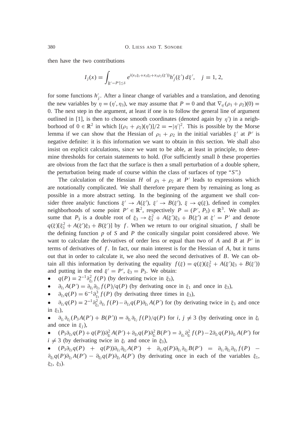then have the two contributions

$$
I_j(x) = \int_{|\xi'-P'| \leq \delta} e^{i(x_1\xi_1 + x_2\xi_2 + x_3\rho_j(\xi'))} h'_j(\xi') d\xi', \quad j = 1, 2,
$$

for some functions  $h'_{j}$ . After a linear change of variables and a translation, and denoting the new variables by  $\eta = (\eta', \eta_3)$ , we may assume that  $P = 0$  and that  $\nabla_{\eta} (\rho_1 + \rho_2)(0) =$ 0. The next step in the argument, at least if one is to follow the general line of argument outlined in [1], is then to choose smooth coordinates (denoted again by  $\eta'$ ) in a neighborhood of  $0 \in \mathbb{R}^2$  in which  $[(\rho_1 + \rho_2)(\eta')]/2 = -|\eta'|^2$ . This is possible by the Morse lemma if we can show that the Hessian of  $\rho_1 + \rho_2$  in the initial variables  $\xi'$  at P' is negative definite: it is this information we want to obtain in this section. We shall also insist on explicit calculations, since we want to be able, at least in principle, to determine thresholds for certain statements to hold. (For sufficiently small *b* these properties are obvious from the fact that the surface is then a small perturbation of a double sphere, the perturbation being made of course within the class of surfaces of type "*S*".)

The calculation of the Hessian *H* of  $\rho_1 + \rho_2$  at *P*<sup>'</sup> leads to expressions which are notationally complicated. We shall therefore prepare them by remaining as long as possible in a more abstract setting. In the beginning of the argument we shall consider three analytic functions  $\xi' \to A(\xi'), \xi' \to B(\xi'), \xi \to q(\xi)$ , defined in complex neighborhoods of some point  $P' \in \mathbb{R}^2$ , respectively  $P = (P', P_3) \in \mathbb{R}^3$ . We shall assume that  $P_3$  is a double root of  $\xi_3 \to \xi_3^2 + A(\xi')\xi_3 + B(\xi')$  at  $\xi' = P'$  and denote  $q(\xi)[\xi_3^2 + A(\xi')\xi_3 + B(\xi')]$  by *f*. When we return to our original situation, *f* shall be the defining function *p* of *S* and *P* the conically singular point considered above. We want to calculate the derivatives of order less or equal than two of  $A$  and  $B$  at  $P'$  in terms of derivatives of *f* . In fact, our main interest is for the Hessian of *A*, but it turns out that in order to calculate it, we also need the second derivatives of *B*. We can obtain all this information by derivating the equality  $f(\xi) = q(\xi)(\xi_3^2 + A(\xi')\xi_3 + B(\xi'))$ and putting in the end  $\xi' = P'$ ,  $\xi_3 = P_3$ . We obtain:

- $q(P) = 2^{-1} \partial_{\xi_3}^2 f(P)$  (by derivating twice in  $\xi_3$ ),
- $\partial_{\xi_1} A(P') = \partial_{\xi_1} \partial_{\xi_3} f(P)/q(P)$  (by derivating once in  $\xi_1$  and once in  $\xi_3$ ),
- $\partial_{\xi_3} q(P) = 6^{-1} \partial_{\xi_3}^3 f(P)$  (by derivating three times in  $\xi_3$ ),
- $\phi$   $\partial_{\xi_1} q(P) = 2^{-1} \partial_{\xi_3}^2 \partial_{\xi_1} f(P) \partial_{\xi_3} q(P) \partial_{\xi_1} A(P')$  for (by derivating twice in  $\xi_3$  and once in  $\xi_1$ ).

•  $\partial_{\xi_i} \partial_{\xi_j} (P_3 A(P') + B(P')) = \partial_{\xi_i} \partial_{\xi_j} f(P)/q(P)$  for *i*,  $j \neq 3$  (by derivating once in  $\xi_i$ and once in  $\xi_i$ ),

•  $(P_3 \partial_{\xi_3} q(P) + q(P)) \partial_{\xi_i}^2 A(P') + \partial_{\xi_3} q(P) \partial_{\xi_i}^2 B(P') = \partial_{\xi_3} \partial_{\xi_i}^2 f(P) - 2 \partial_{\xi_i} q(P) \partial_{\xi_i} A(P')$  for  $i \neq 3$  (by derivating twice in  $\xi_i$  and once in  $\xi_3$ ),

•  $(P_3 \partial_{\xi_3} q(P) + q(P)) \partial_{\xi_1} \partial_{\xi_2} A(P') + \partial_{\xi_3} q(P) \partial_{\xi_1} \partial_{\xi_2} B(P') = \partial_{\xi_1} \partial_{\xi_2} \partial_{\xi_3} f(P) \partial_{\xi_1} q(P) \partial_{\xi_2} A(P') - \partial_{\xi_2} q(P) \partial_{\xi_1} A(P')$  (by derivating once in each of the variables  $\xi_1$ ,  $\xi_2, \xi_3$ ).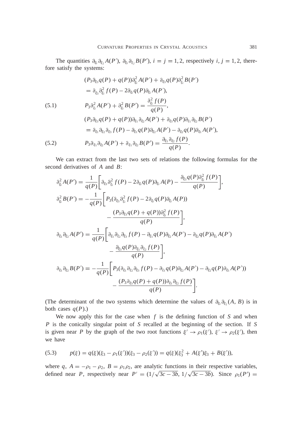The quantities  $\partial_{\xi_i} \partial_{\xi_j} A(P')$ ,  $\partial_{\xi_i} \partial_{\xi_j} B(P')$ ,  $i = j = 1, 2$ , respectively  $i, j = 1, 2$ , therefore satisfy the systems:

(5.1)  
\n
$$
(P_3 \partial_{\xi_3} q(P) + q(P)) \partial_{\xi_i}^2 A(P') + \partial_{\xi_3} q(P) \partial_{\xi_i}^2 B(P')
$$
\n
$$
= \partial_{\xi_3} \partial_{\xi_i}^2 f(P) - 2 \partial_{\xi_i} q(P) \partial_{\xi_i} A(P'),
$$
\n(5.1)  
\n
$$
P_3 \partial_{\xi_i}^2 A(P') + \partial_{\xi_i}^2 B(P') = \frac{\partial_{\xi_i}^2 f(P)}{q(P)},
$$
\n
$$
(P_3 \partial_{\xi_3} q(P) + q(P)) \partial_{\xi_1} \partial_{\xi_2} A(P') + \partial_{\xi_3} q(P) \partial_{\xi_1} \partial_{\xi_2} B(P')
$$
\n
$$
= \partial_{\xi_1} \partial_{\xi_2} \partial_{\xi_3} f(P) - \partial_{\xi_1} q(P) \partial_{\xi_2} A(P') - \partial_{\xi_2} q(P) \partial_{\xi_1} A(P'),
$$
\n(5.2)  
\n
$$
P_3 \partial_{\xi_1} \partial_{\xi_2} A(P') + \partial_{\xi_1} \partial_{\xi_2} B(P') = \frac{\partial_{\xi_1} \partial_{\xi_2} f(P)}{q(P)}.
$$

We can extract from the last two sets of relations the following formulas for the second derivatives of *A* and *B*:

$$
\partial_{\xi_i}^2 A(P') = \frac{1}{q(P)} \bigg[ \partial_{\xi_3} \partial_{\xi_i}^2 f(P) - 2 \partial_{\xi_i} q(P) \partial_{\xi_i} A(P) - \frac{\partial_{\xi_3} q(P) \partial_{\xi_i}^2 f(P)}{q(P)} \bigg],
$$
  
\n
$$
\partial_{\xi_i}^2 B(P') = -\frac{1}{q(P)} \bigg[ P_3(\partial_{\xi_3} \partial_{\xi_i}^2 f(P) - 2 \partial_{\xi_i} q(P) \partial_{\xi_i} A(P)) - \frac{(P_3 \partial_{\xi_3} q(P) + q(P)) \partial_{\xi_i}^2 f(P)}{q(P)} \bigg],
$$
  
\n
$$
\partial_{\xi_1} \partial_{\xi_2} A(P') = \frac{1}{q(P)} \bigg[ \partial_{\xi_1} \partial_{\xi_2} \partial_{\xi_3} f(P) - \partial_{\xi_1} q(P) \partial_{\xi_2} A(P') - \partial_{\xi_2} q(P) \partial_{\xi_1} A(P') - \frac{\partial_{\xi_3} q(P) \partial_{\xi_1} \partial_{\xi_2} f(P)}{q(P)} \bigg],
$$
  
\n
$$
\partial_{\xi_1} \partial_{\xi_2} B(P') = -\frac{1}{q(P)} \bigg[ P_3(\partial_{\xi_1} \partial_{\xi_2} \partial_{\xi_3} f(P) - \partial_{\xi_1} q(P) \partial_{\xi_2} A(P') - \partial_{\xi_2} q(P) \partial_{\xi_1} A(P')) - \frac{(P_3 \partial_{\xi_3} q(P) + q(P)) \partial_{\xi_1} \partial_{\xi_2} f(P)}{q(P)} \bigg].
$$

(The determinant of the two systems which determine the values of  $\partial_{\xi_i} \partial_{\xi_j}(A, B)$  is in both cases  $q(P)$ .)

We now apply this for the case when *f* is the defining function of *S* and when *P* is the conically singular point of *S* recalled at the beginning of the section. If *S* is given near *P* by the graph of the two root functions  $\xi' \to \rho_1(\xi')$ ,  $\xi' \to \rho_2(\xi')$ , then we have

$$
(5.3) \qquad p(\xi) = q(\xi)(\xi_3 - \rho_1(\xi'))(\xi_3 - \rho_2(\xi')) = q(\xi)(\xi_3^2 + A(\xi')\xi_3 + B(\xi')),
$$

where q,  $A = -\rho_1 - \rho_2$ ,  $B = \rho_1 \rho_2$ , are analytic functions in their respective variables, defined near *P*, respectively near  $P' = (1/\sqrt{3c - 3b}, 1/\sqrt{3c - 3b})$ . Since  $\rho_1(P') =$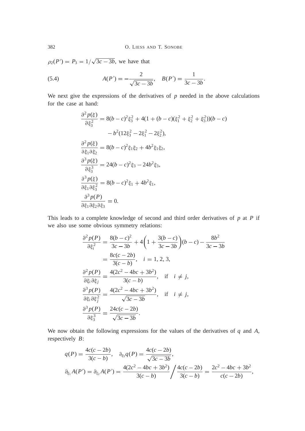$\rho_2(P') = P_3 = 1/\sqrt{3c - 3b}$ , we have that

(5.4) 
$$
A(P') = -\frac{2}{\sqrt{3c - 3b}}, \quad B(P') = \frac{1}{3c - 3b}.
$$

We next give the expressions of the derivatives of  $p$  needed in the above calculations for the case at hand:

$$
\frac{\partial^2 p(\xi)}{\partial \xi_3^2} = 8(b-c)^2 \xi_3^2 + 4(1+(b-c)(\xi_1^2 + \xi_2^2 + \xi_3^2))(b-c)
$$

$$
-b^2(12\xi_3^2 - 2\xi_1^2 - 2\xi_2^2),
$$

$$
\frac{\partial^2 p(\xi)}{\partial \xi_1 \partial \xi_2} = 8(b-c)^2 \xi_1 \xi_2 + 4b^2 \xi_1 \xi_2,
$$

$$
\frac{\partial^3 p(\xi)}{\partial \xi_3^3} = 24(b-c)^2 \xi_3 - 24b^2 \xi_3,
$$

$$
\frac{\partial^3 p(\xi)}{\partial \xi_1 \partial \xi_2^2} = 8(b-c)^2 \xi_1 + 4b^2 \xi_1,
$$

$$
\frac{\partial^3 p(P)}{\partial \xi_1 \partial \xi_2 \partial \xi_3} = 0.
$$

This leads to a complete knowledge of second and third order derivatives of *p* at *P* if we also use some obvious symmetry relations:

$$
\frac{\partial^2 p(P)}{\partial \xi_i^2} = \frac{8(b-c)^2}{3c-3b} + 4\left(1 + \frac{3(b-c)}{3c-3b}\right)(b-c) - \frac{8b^2}{3c-3b}
$$

$$
= \frac{8c(c-2b)}{3(c-b)}, \quad i = 1, 2, 3,
$$

$$
\frac{\partial^2 p(P)}{\partial \xi_i \partial \xi_j} = \frac{4(2c^2 - 4bc + 3b^2)}{3(c-b)}, \quad \text{if} \quad i \neq j,
$$

$$
\frac{\partial^3 p(P)}{\partial \xi_i \partial \xi_j^2} = \frac{4(2c^2 - 4bc + 3b^2)}{\sqrt{3c-3b}}, \quad \text{if} \quad i \neq j,
$$

$$
\frac{\partial^3 p(P)}{\partial \xi_i \partial \xi_j^2} = \frac{24c(c-2b)}{\sqrt{3c-3b}}.
$$

We now obtain the following expressions for the values of the derivatives of *q* and *A*, respectively *B*:

$$
q(P) = \frac{4c(c - 2b)}{3(c - b)}, \quad \partial_{\xi_3}q(P) = \frac{4c(c - 2b)}{\sqrt{3c - 3b}},
$$
  

$$
\partial_{\xi_1}A(P') = \partial_{\xi_2}A(P') = \frac{4(2c^2 - 4bc + 3b^2)}{3(c - b)} \bigg/ \frac{4c(c - 2b)}{3(c - b)} = \frac{2c^2 - 4bc + 3b^2}{c(c - 2b)},
$$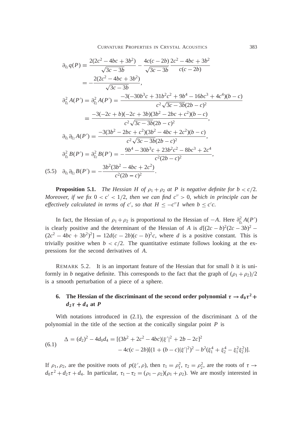$$
\partial_{\xi_1} q(P) = \frac{2(2c^2 - 4bc + 3b^2)}{\sqrt{3c - 3b}} - \frac{4c(c - 2b)}{\sqrt{3c - 3b}} \frac{2c^2 - 4bc + 3b^2}{c(c - 2b)}
$$
  
\n
$$
= -\frac{2(2c^2 - 4bc + 3b^2)}{\sqrt{3c - 3b}},
$$
  
\n
$$
\partial_{\xi_1}^2 A(P') = \partial_{\xi_2}^2 A(P') = \frac{-3(-30b^3c + 31b^2c^2 + 9b^4 - 16bc^3 + 4c^4)(b - c)}{c^2 \sqrt{3c - 3b}(2b - c)^2}
$$
  
\n
$$
= \frac{-3(-2c + b)(-2c + 3b)(3b^2 - 2bc + c^2)(b - c)}{c^2 \sqrt{3c - 3b}(2b - c)^2},
$$
  
\n
$$
\partial_{\xi_1} \partial_{\xi_2} A(P') = \frac{-3(3b^2 - 2bc + c^2)(3b^2 - 4bc + 2c^2)(b - c)}{c^2 \sqrt{3c - 3b}(2b - c)^2},
$$
  
\n
$$
\partial_{\xi_1}^2 B(P') = \partial_{\xi_2}^2 B(P') = -\frac{9b^4 - 30b^3c + 23b^2c^2 - 8bc^3 + 2c^4}{c^2(2b - c)^2},
$$
  
\n(5.5) 
$$
\partial_{\xi_1} \partial_{\xi_2} B(P') = -\frac{3b^2(3b^2 - 4bc + 2c^2)}{c^2(2b - c)^2}.
$$

**Proposition 5.1.** *The Hessian H of*  $\rho_1 + \rho_2$  *at P is negative definite for*  $b < c/2$ *. Moreover, if we fix*  $0 < c' < 1/2$ *, then we can find*  $c'' > 0$ *, which in principle can be effectively calculated in terms of c', so that*  $H \leq -c''I$  *when*  $b \leq c'c$ *.* 

In fact, the Hessian of  $\rho_1 + \rho_2$  is proportional to the Hessian of *-A*. Here  $\partial_{\xi_1}^2 A(P')$ is clearly positive and the determinant of the Hessian of *A* is  $d[(2c - b)^2(2c - 3b)^2 (2c^2 - 4bc + 3b^2)^2$  =  $12d(c - 2b)(c - b)^2c$ , where *d* is a positive constant. This is trivially positive when  $b < c/2$ . The quantitative estimate follows looking at the expressions for the second derivatives of *A*.

REMARK 5.2. It is an important feature of the Hessian that for small *b* it is uniformly in *b* negative definite. This corresponds to the fact that the graph of  $(\rho_1 + \rho_2)/2$ is a smooth perturbation of a piece of a sphere.

# **6.** The Hessian of the discriminant of the second order polynomial  $\tau \rightarrow d_0 \tau^2 +$  $d_2\tau + d_4$  at *P*

With notations introduced in (2.1), the expression of the discriminant  $\Delta$  of the polynomial in the title of the section at the conically singular point *P* is

(6.1) 
$$
\Delta = (d_2)^2 - 4d_0d_4 = [(3b^2 + 2c^2 - 4bc)|\xi'|^2 + 2b - 2c]^2 - 4c(c - 2b)[(1 + (b - c)|\xi'|^2)^2 - b^2(\xi_1^4 + \xi_2^4 - \xi_1^2\xi_2^2)].
$$

If  $\rho_1, \rho_2$ , are the positive roots of  $p(\xi', \rho)$ , then  $\tau_1 = \rho_1^2$ ,  $\tau_2 = \rho_2^2$ , are the roots of  $\tau \to$  $d_0\tau^2 + d_2\tau + d_4$ . In particular,  $\tau_1 - \tau_2 = (\rho_1 - \rho_2)(\rho_1 + \rho_2)$ . We are mostly interested in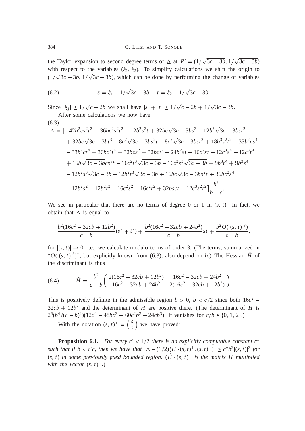the Taylor expansion to second degree terms of  $\triangle$  at  $P' = (1/\sqrt{3c - 3b}, 1/\sqrt{3c - 3b})$ with respect to the variables  $(\xi_1, \xi_2)$ . To simplify calculations we shift the origin to  $(1/\sqrt{3c-3b}, 1/\sqrt{3c-3b})$ , which can be done by performing the change of variables

(6.2) 
$$
s = \xi_1 - 1/\sqrt{3c - 3b}, \quad t = \xi_2 - 1/\sqrt{3c - 3b}.
$$

Since  $|\xi_j| \leq 1/\sqrt{c - 2b}$  we shall have  $|s| + |t| \leq 1/\sqrt{c - 2b + 1/\sqrt{3c - 3b}}$ . After some calculations we now have

$$
\Delta = \left[ -42b^2cs^2t^2 + 36bc^2s^2t^2 - 12b^2s^2t + 32bc\sqrt{3c - 3b}s^3 - 12b^2\sqrt{3c - 3b}s^2 \right. \\
\left. + 32bc\sqrt{3c - 3b}t^3 - 8c^2\sqrt{3c - 3b}s^2t - 8c^2\sqrt{3c - 3b}s^2t + 18b^3s^2t^2 - 33b^2cs^4 \right. \\
\left. - 33b^2ct^4 + 36bc^2t^4 + 32bcs^2 + 32bct^2 - 24b^2st - 16c^2st - 12c^3s^4 - 12c^3t^4 \right. \\
\left. + 16b\sqrt{3c - 3b}cst^2 - 16c^2t^3\sqrt{3c - 3b} - 16c^2s^3\sqrt{3c - 3b} + 9b^3t^4 + 9b^3s^4 \right. \\
\left. - 12b^2s^3\sqrt{3c - 3b} - 12b^2t^3\sqrt{3c - 3b} + 16bc\sqrt{3c - 3b}s^2t + 36bc^2s^4 \right. \\
\left. - 12b^2s^2 - 12b^2t^2 - 16c^2s^2 - 16c^2t^2 + 32bsct - 12c^3s^2t^2 \right] \frac{b^2}{b - c}.
$$

We see in particular that there are no terms of degree 0 or 1 in  $(s, t)$ . In fact, we obtain that  $\Delta$  is equal to

$$
\frac{b^2(16c^2 - 32cb + 12b^2)}{c - b}(s^2 + t^2) + \frac{b^2(16c^2 - 32cb + 24b^2)}{c - b}st + \frac{b^2O(|(s, t)|^3)}{c - b},
$$

for  $|(s, t)| \rightarrow 0$ , i.e., we calculate modulo terms of order 3. (The terms, summarized in " $O(|(s, t)|^3)$ ", but explicitly known from (6.3), also depend on *b*.) The Hessian  $\tilde{H}$  of the discriminant is thus

(6.4) 
$$
\tilde{H} = \frac{b^2}{c - b} \left( \frac{2(16c^2 - 32cb + 12b^2)}{16c^2 - 32cb + 24b^2} - \frac{16c^2 - 32cb + 24b^2}{2(16c^2 - 32cb + 12b^2)} \right).
$$

This is positively definite in the admissible region  $b > 0$ ,  $b < c/2$  since both  $16c^2$  –  $32cb + 12b^2$  and the determinant of  $\tilde{H}$  are positive there. (The determinant of  $\tilde{H}$  is  $2^{6}(b^4/(c-b)^2)(12c^4-48bc^3+60c^2b^2-24cb^3)$ . It vanishes for  $c/b \in \{0, 1, 2\}$ .) *s*

With the notation  $(s, t)^{\perp}$  = *t* we have proved:

**Proposition 6.1.** *For every*  $c' < 1/2$  *there is an explicitly computable constant*  $c''$ such that if  $b < c'c$ , then we have that  $|\Delta - (1/2)\langle \tilde{H} \cdot (s,t)^{\perp}, (s,t)^{\perp} \rangle| \le c''b^2|(s,t)|^3$  for  $(s, t)$  in some previously fixed bounded region.  $(H \cdot (s, t)^{\perp})$  is the matrix *H* multiplied *with the vector*  $(s, t)^{\perp}$ .)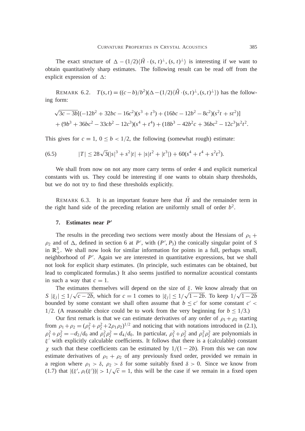The exact structure of  $\Delta - (1/2)\langle H \cdot (s, t)^{\perp}, (s, t)^{\perp} \rangle$  is interesting if we want to obtain quantitatively sharp estimates. The following result can be read off from the explicit expression of  $\Delta$ :

REMARK 6.2.  $T(s,t) = ((c-b)/b^2)(\Delta - (1/2)(\tilde{H} \cdot (s,t)^{\perp}, (s,t)^{\perp}))$  has the following form:

$$
\sqrt{3c-3b} [(-12b^2+32bc-16c^2)(s^3+t^3)+(16bc-12b^2-8c^2)(s^2t+st^2)]
$$
  
+ (9b<sup>3</sup> + 36bc<sup>2</sup> - 33cb<sup>2</sup> - 12c<sup>3</sup>)(s<sup>4</sup> + t<sup>4</sup>) + (18b<sup>3</sup> - 42b<sup>2</sup>c + 36bc<sup>2</sup> - 12c<sup>3</sup>)s<sup>2</sup>t<sup>2</sup>.

This gives for  $c = 1$ ,  $0 \le b < 1/2$ , the following (somewhat rough) estimate:

$$
(6.5) \t\t |T| \le 28\sqrt{3}(|s|^3 + s^2|t| + |s|t^2 + |t^3|) + 60(s^4 + t^4 + s^2t^2).
$$

We shall from now on not any more carry terms of order 4 and explicit numerical constants with us. They could be interesting if one wants to obtain sharp thresholds, but we do not try to find these thresholds explicitly.

REMARK  $6.3$ . It is an important feature here that  $H$  and the remainder term in the right hand side of the preceding relation are uniformly small of order  $b<sup>2</sup>$ .

# **7. Estimates near** *P* <sup>0</sup>

The results in the preceding two sections were mostly about the Hessians of  $\rho_1$  +  $\rho_2$  and of  $\Delta$ , defined in section 6 at *P*<sup>'</sup>, with  $(P', P_3)$  the conically singular point of *S* in  $\mathbb{R}^3_+$ . We shall now look for similar information for points in a full, perhaps small, neighborhood of  $P'$ . Again we are interested in quantitative expressions, but we shall not look for explicit sharp estimates. (In principle, such estimates can be obtained, but lead to complicated formulas.) It also seems justified to normalize acoustical constants in such a way that  $c = 1$ .

The estimates themselves will depend on the size of  $\xi$ . We know already that on *S*  $|\xi_j| \leq 1/\sqrt{c - 2b}$ , which for  $c = 1$  comes to  $|\xi_j| \leq 1/\sqrt{1 - 2b}$ . To keep  $1/\sqrt{1 - 2b}$ bounded by some constant we shall often assume that  $b \leq c'$  for some constant  $c'$  < 1/2. (A reasonable choice could be to work from the very beginning for  $b \le 1/3$ .)

Our first remark is that we can estimate derivatives of any order of  $\rho_1 + \rho_2$  starting from  $\rho_1 + \rho_2 = (\rho_1^2 + \rho_2^2 + 2\rho_1 \rho_2)^{1/2}$  and noticing that with notations introduced in (2.1),  $\rho_1^2 + \rho_2^2 = -d_2/d_0$  and  $\rho_1^2 \rho_2^2 = d_4/d_0$ . In particular,  $\rho_1^2 + \rho_2^2$  and  $\rho_1^2 \rho_2^2$  are polynomials in  $\xi'$  with explicitly calculable coefficients. It follows that there is a (calculable) constant x such that these coefficients can be estimated by  $1/(1 - 2b)$ . From this we can now estimate derivatives of  $\rho_1 + \rho_2$  of any previously fixed order, provided we remain in a region where  $\rho_1 > \delta$ ,  $\rho_2 > \delta$  for some suitably fixed  $\delta > 0$ . Since we know from  $(1.7)$  that  $|\xi', \rho_i(\xi')|\rangle > 1/\sqrt{c} = 1$ , this will be the case if we remain in a fixed open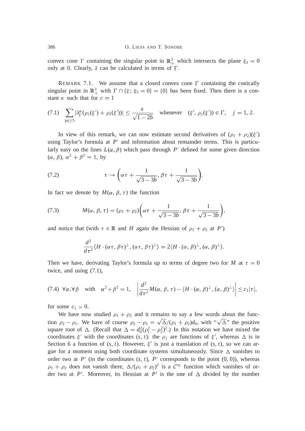convex cone  $\Gamma$  containing the singular point in  $\mathbb{R}^3_+$  which intersects the plane  $\xi_3 = 0$ only at 0. Clearly,  $\delta$  can be calculated in terms of  $\Gamma$ .

REMARK 7.1. We assume that a closed convex cone  $\Gamma$  containing the conically singular point in  $\mathbb{R}^3_+$  with  $\Gamma \cap {\{\xi; \xi_3 = 0\}} = \{0\}$  has been fixed. Then there is a constant  $\kappa$  such that for  $c = 1$ 

$$
(7.1) \quad \sum_{|\alpha| \le 5} |\partial_{\xi'}^{\alpha}(\rho_1(\xi') + \rho_2(\xi'))| \le \frac{\kappa}{\sqrt{1 - 2b}} \quad \text{whenever} \quad (\xi', \rho_j(\xi')) \in \Gamma, \quad j = 1, 2.
$$

In view of this remark, we can now estimate second derivatives of  $(\rho_1 + \rho_2)(\xi')$ using Taylor's formula at  $P'$  and information about remainder terms. This is particularly easy on the lines  $L(\alpha, \beta)$  which pass through P' defined for some given direction  $(\alpha, \beta), \alpha^2 + \beta^2 = 1$ , by

(7.2) 
$$
\tau \to \left(\alpha \tau + \frac{1}{\sqrt{3-3b}}, \beta \tau + \frac{1}{\sqrt{3-3b}}\right).
$$

In fact we denote by  $M(\alpha, \beta, \tau)$  the function

(7.3) 
$$
M(\alpha, \beta, \tau) = (\rho_1 + \rho_2) \left( \alpha \tau + \frac{1}{\sqrt{3 - 3b}}, \beta \tau + \frac{1}{\sqrt{3 - 3b}} \right),
$$

and notice that (with  $\tau \in \mathbb{R}$  and *H* again the Hessian of  $\rho_1 + \rho_2$  at *P*')

$$
\frac{d^2}{d\tau^2}\langle H \cdot (\alpha \tau, \beta \tau)^{\perp}, (\alpha \tau, \beta \tau)^{\perp}\rangle = 2\langle H \cdot (\alpha, \beta)^{\perp}, (\alpha, \beta)^{\perp}\rangle.
$$

Then we have, derivating Taylor's formula up to terms of degree two for *M* at  $\tau = 0$ twice, and using (7.1),

$$
(7.4) \ \forall \alpha, \forall \beta \quad \text{with} \quad \alpha^2 + \beta^2 = 1, \quad \left| \frac{d^2}{d\tau^2} M(\alpha, \beta, \tau) - \langle H \cdot (\alpha, \beta)^{\perp}, (\alpha, \beta)^{\perp} \rangle \right| \leq c_1 |\tau|,
$$

for some  $c_1 > 0$ .

We have now studied  $\rho_1 + \rho_2$  and it remains to say a few words about the function  $\rho_2 - \rho_1$ . We have of course  $\rho_2 - \rho_1 = \sqrt{\Delta}/(\rho_1 + \rho_2)d_0$ , with " $\sqrt{\Delta}$ " the positive square root of  $\Delta$ . (Recall that  $\Delta = d_0^2(\rho_1^2 - \rho_2^2)^2$ .) In this notation we have mixed the coordinates  $\xi'$  with the coordinates  $(s, t)$ : the  $\rho_j$  are functions of  $\xi'$ , whereas  $\Delta$  is in Section 6 a function of  $(s, t)$ . However,  $\xi'$  is just a translation of  $(s, t)$ , so we can argue for a moment using both coordinate systems simultaneously. Since  $\Delta$  vanishes to order two at  $P'$  (in the coordinates  $(s, t)$ ,  $P'$  corresponds to the point  $(0, 0)$ ), whereas  $\rho_1 + \rho_2$  does not vanish there,  $\Delta/(\rho_1 + \rho_2)^2$  is a  $\mathcal{C}^{\infty}$  function which vanishes of order two at P'. Moreover, its Hessian at P' is the one of  $\Delta$  divided by the number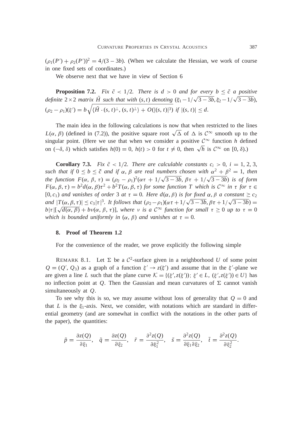$(\rho_1(P') + \rho_2(P'))^2 = 4/(3 - 3b)$ . (When we calculate the Hessian, we work of course in one fixed sets of coordinates.)

We observe next that we have in view of Section 6

**Proposition 7.2.** *Fix*  $\tilde{c}$  < 1/2*. There is d* > 0 *and for every b*  $\leq \tilde{c}$  *a positive definite*  $2 \times 2$  *matrix H* such that with  $(s, t)$  denoting  $(\xi_1 - 1/\sqrt{3 - 3b}, \xi_2 - 1/\sqrt{3 - 3b})$ ,  $(\rho_2 - \rho_1)(\xi') = b\sqrt{\langle \tilde{H} \cdot (s, t)^{\perp}, (s, t)^{\perp} \rangle + O(|(s, t)|^3)} \text{ if } |(s, t)| \leq d.$ 

The main idea in the following calculations is now that when restricted to the lines  $L(\alpha, \beta)$  (defined in (7.2)), the positive square root  $\sqrt{\Delta}$  of  $\Delta$  is  $\mathcal{C}^{\infty}$  smooth up to the singular point. (Here we use that when we consider a positive  $\mathcal{C}^{\infty}$  function *h* defined on  $(-\delta, \delta)$  which satisfies  $h(0) = 0$ ,  $h(t) > 0$  for  $t \neq 0$ , then  $\sqrt{h}$  is  $C^{\infty}$  on  $[0, \delta)$ .)

**Corollary 7.3.** *Fix*  $\tilde{c}$  < 1/2*. There are calculable constants*  $c_i > 0$ *,*  $i = 1, 2, 3$ *,* such that if  $0 \le b \le \tilde{c}$  and if  $\alpha$ ,  $\beta$  are real numbers chosen with  $\alpha^2 + \beta^2 = 1$ , then *the function*  $F(\alpha, \beta, \tau) = (\rho_2 - \rho_1)^2(\alpha \tau + 1/\sqrt{3 - 3b}, \beta \tau + 1/\sqrt{3 - 3b})$  *is of form*  $F(\alpha, \beta, \tau) = b^2 d(\alpha, \beta) \tau^2 + b^2 T(\alpha, \beta, \tau)$  for some function T which is  $C^{\infty}$  in  $\tau$  for  $\tau \in$  $[0, c_1)$  *and vanishes of order* 3 *at*  $\tau = 0$ *. Here*  $d(\alpha, \beta)$  *is for fixed*  $\alpha, \beta$  *a constant*  $\geq c_2$ *and*  $|T(\alpha, \beta, \tau)| \leq c_3 |\tau|^3$ . It follows that  $(\rho_2 - \rho_1)(\alpha \tau + 1/\sqrt{3 - 3b}, \beta \tau + 1/\sqrt{3 - 3b}) =$  $b|\tau|[\sqrt{d(\alpha,\beta)} + bv(\alpha,\beta,\tau)]$ , where v is a  $\mathcal{C}^{\infty}$  function for small  $\tau \geq 0$  up to  $\tau = 0$ *which is bounded uniformly in*  $(\alpha, \beta)$  *and vanishes at*  $\tau = 0$ *.* 

#### **8. Proof of Theorem 1.2**

For the convenience of the reader, we prove explicitly the following simple

REMARK 8.1. Let  $\Sigma$  be a  $\mathcal{C}^2$ -surface given in a neighborhood *U* of some point  $Q = (Q', Q_3)$  as a graph of a function  $\xi' \to z(\xi')$  and assume that in the  $\xi'$ -plane we are given a line *L* such that the plane curve  $K = \{(\xi', z(\xi')); \xi' \in L, (\xi', z(\xi')) \in U\}$  has no inflection point at *Q*. Then the Gaussian and mean curvatures of  $\Sigma$  cannot vanish simultaneously at *Q*.

To see why this is so, we may assume without loss of generality that  $Q = 0$  and that *L* is the  $\xi_1$ -axis. Next, we consider, with notations which are standard in differential geometry (and are somewhat in conflict with the notations in the other parts of the paper), the quantities:

$$
\tilde{p} = \frac{\partial z(Q)}{\partial \xi_1}, \quad \tilde{q} = \frac{\partial z(Q)}{\partial \xi_2}, \quad \tilde{r} = \frac{\partial^2 z(Q)}{\partial \xi_1^2}, \quad \tilde{s} = \frac{\partial^2 z(Q)}{\partial \xi_1 \partial \xi_2}, \quad \tilde{t} = \frac{\partial^2 z(Q)}{\partial \xi_2^2}.
$$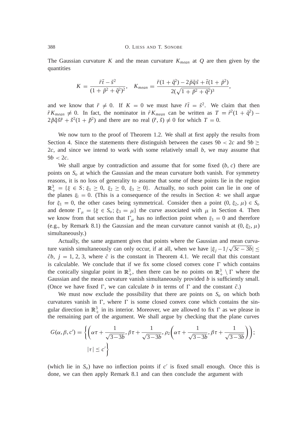The Gaussian curvature K and the mean curvature  $K_{mean}$  at Q are then given by the quantities

$$
K = \frac{\tilde{r}\tilde{t} - \tilde{s}^2}{(1 + \tilde{p}^2 + \tilde{q}^2)^2}, \quad K_{mean} = \frac{\tilde{r}(1 + \tilde{q}^2) - 2\tilde{p}\tilde{q}\tilde{s} + \tilde{t}(1 + \tilde{p}^2)}{2(\sqrt{1 + \tilde{p}^2 + \tilde{q}^2})^3},
$$

and we know that  $\tilde{r}\neq 0$ . If  $K=0$  we must have  $\tilde{r}\tilde{t}=\tilde{s}^2$ . We claim that then  $\tilde{r} K_{mean} \neq 0$ . In fact, the nominator in  $\tilde{r} K_{mean}$  can be written as  $T = \tilde{r}^2 (1 + \tilde{q}^2)$  $2\tilde{p}\tilde{q}\tilde{s}\tilde{r} + \tilde{s}^2(1 + \tilde{p}^2)$  and there are no real  $(\tilde{r}, \tilde{s}) \neq 0$  for which  $T = 0$ .

We now turn to the proof of Theorem 1.2. We shall at first apply the results from Section 4. Since the statements there distinguish between the cases  $9b < 2c$  and  $9b \ge$ 2*c*, and since we intend to work with some relatively small *b*, we may assume that  $9b < 2c$ .

We shall argue by contradiction and assume that for some fixed (*b*, *c*) there are points on *S<sup>o</sup>* at which the Gaussian and the mean curvature both vanish. For symmetry reasons, it is no loss of generality to assume that some of these points lie in the region  $\mathbb{R}^3_+ = \{\xi \in S; \xi_1 \geq 0, \xi_2 \geq 0, \xi_3 \geq 0\}.$  Actually, no such point can lie in one of the planes  $\xi_i = 0$ . (This is a consequence of the results in Section 4: we shall argue for  $\xi_1 = 0$ , the other cases being symmetrical. Consider then a point  $(0, \xi_2, \mu) \in S$ <sub>*o*</sub> and denote  $\Gamma_{\mu} = \{\xi \in S_o; \xi_3 = \mu\}$  the curve associated with  $\mu$  in Section 4. Then we know from that section that  $\Gamma_{\mu}$  has no inflection point when  $\xi_1 = 0$  and therefore (e.g., by Remark 8.1) the Gaussian and the mean curvature cannot vanish at  $(0, \xi_2, \mu)$ simultaneously.)

Actually, the same argument gives that points where the Gaussian and mean curvature vanish simultaneously can only occur, if at all, when we have  $|\xi_j - 1/\sqrt{3c - 3b}| \leq$  $\tilde{c}b$ ,  $j = 1, 2, 3$ , where  $\tilde{c}$  is the constant in Theorem 4.1. We recall that this constant is calculable. We conclude that if we fix some closed convex cone  $\Gamma$  which contains the conically singular point in  $\mathbb{R}^3_+$ , then there can be no points on  $\mathbb{R}^3_+ \setminus \Gamma$  where the Gaussian and the mean curvature vanish simultaneously provided *b* is sufficiently small. (Once we have fixed  $\Gamma$ , we can calculate *b* in terms of  $\Gamma$  and the constant  $\tilde{c}$ .)

We must now exclude the possibility that there are points on  $S<sub>o</sub>$  on which both curvatures vanish in  $\Gamma$ , where  $\Gamma$  is some closed convex cone which contains the singular direction in  $\mathbb{R}^3_+$  in its interior. Moreover, we are allowed to fix  $\Gamma$  as we please in the remaining part of the argument. We shall argue by checking that the plane curves

$$
G(\alpha, \beta, c') = \left\{ \left( \alpha \tau + \frac{1}{\sqrt{3 - 3b}}, \beta \tau + \frac{1}{\sqrt{3 - 3b}}, \rho_2 \left( \alpha \tau + \frac{1}{\sqrt{3 - 3b}}, \beta \tau + \frac{1}{\sqrt{3 - 3b}} \right) \right);
$$

$$
|\tau| \le c' \right\}
$$

(which lie in  $S<sub>o</sub>$ ) have no inflection points if  $c<sup>'</sup>$  is fixed small enough. Once this is done, we can then apply Remark 8.1 and can then conclude the argument with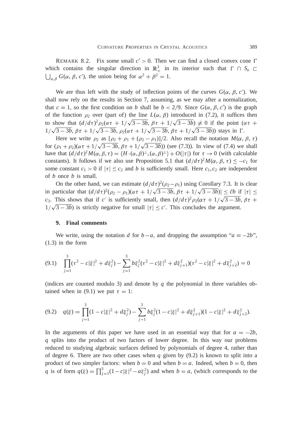REMARK 8.2. Fix some small  $c' > 0$ . Then we can find a closed convex cone  $\Gamma$ which contains the singular direction in  $\mathbb{R}^3_+$  in its interior such that  $\Gamma \cap S_o \subset$  $\bigcup_{\alpha,\beta} G(\alpha,\beta,c')$ , the union being for  $\alpha^2 + \beta^2 = 1$ .

We are thus left with the study of inflection points of the curves  $G(\alpha, \beta, c')$ . We shall now rely on the results in Section 7, assuming, as we may after a normalization, that  $c = 1$ , so the first condition on *b* shall be  $b < 2/9$ . Since  $G(\alpha, \beta, c')$  is the graph of the function  $\rho_2$  over (part of) the line  $L(\alpha, \beta)$  introduced in (7.2), it suffices then to show that  $\left(\frac{d}{d\tau}\right)^2 \rho_2(\alpha \tau + \frac{1}{\sqrt{3-3b}}, \beta \tau + \frac{1}{\sqrt{3-3b}}) \neq 0$  if the point  $(\alpha \tau +$  $1/\sqrt{3-3b}$ ,  $\beta \tau + 1/\sqrt{3-3b}$ ,  $\rho_2(\alpha \tau + 1/\sqrt{3-3b}$ ,  $\beta \tau + 1/\sqrt{3-3b})$ ) stays in  $\Gamma$ .

Here we write  $\rho_2$  as  $[\rho_2 + \rho_1 + (\rho_2 - \rho_1)]/2$ . Also recall the notation  $M(\alpha, \beta, \tau)$ for  $(\rho_1 + \rho_2)(\alpha \tau + 1/\sqrt{3 - 3b}, \beta \tau + 1/\sqrt{3 - 3b})$  (see (7.3)). In view of (7.4) we shall have that  $(d/d\tau)^2 M(\alpha, \beta, \tau) = \langle H \cdot (\alpha, \beta)^{\perp}, (\alpha, \beta)^{\perp} \rangle + O(|\tau|)$  for  $\tau \to 0$  (with calculable constants). It follows if we also use Proposition 5.1 that  $(d/d\tau)^2 M(\alpha, \beta, \tau) \leq -c_1$  for some constant  $c_1 > 0$  if  $|\tau| \leq c_2$  and *b* is sufficiently small. Here  $c_1, c_2$  are independent of *b* once *b* is small.

On the other hand, we can estimate  $(d/d\tau)^2(\rho_2 - \rho_1)$  using Corollary 7.3. It is clear in particular that  $(d/d\tau)^2(\rho_2 - \rho_1)(\alpha \tau + 1/\sqrt{3 - 3b}, \beta \tau + 1/\sqrt{3 - 3b})$   $\leq \tilde{c}b$  if  $|\tau| \leq$ *c*<sub>3</sub>. This shows that if *c*<sup> $\prime$ </sup> is sufficiently small, then  $(d/d\tau)^2 \rho_2(\alpha \tau + 1/\sqrt{3-3b}, \beta \tau +$  $1/\sqrt{3-3b}$  is strictly negative for small  $|\tau| \le c'$ . This concludes the argument.

# **9. Final comments**

We write, using the notation *d* for  $b - a$ , and dropping the assumption " $a = -2b$ ", (1.3) in the form

$$
(9.1) \quad \prod_{j=1}^{3} (\tau^2 - c|\xi|^2 + d\xi_j^2) - \sum_{j=1}^{3} b\xi_j^2 (\tau^2 - c|\xi|^2 + d\xi_{j+1}^2)(\tau^2 - c|\xi|^2 + d\xi_{j+2}^2) = 0
$$

(indices are counted modulo 3) and denote by  $q$  the polynomial in three variables obtained when in (9.1) we put  $\tau = 1$ :

$$
(9.2) \quad q(\xi) = \prod_{j=1}^{3} (1 - c|\xi|^2 + d\xi_j^2) - \sum_{j=1}^{3} b\xi_j^2 (1 - c|\xi|^2 + d\xi_{j+1}^2)(1 - c|\xi|^2 + d\xi_{j+2}^2).
$$

In the arguments of this paper we have used in an essential way that for  $a = -2b$ , *q* splits into the product of two factors of lower degree. In this way our problems reduced to studying algebraic surfaces defined by polynomials of degree 4, rather than of degree 6. There are two other cases when  $q$  given by  $(9.2)$  is known to split into a product of two simpler factors: when  $b = 0$  and when  $b = a$ . Indeed, when  $b = 0$ , then *q* is of form  $q(\xi) = \prod_{j=1}^{3} (1 - c|\xi|^2 - a\xi_j^2)$  and when  $b = a$ , (which corresponds to the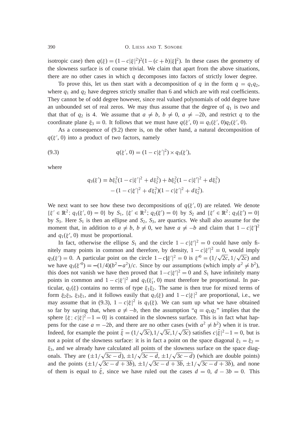isotropic case) then  $q(\xi) = (1 - c|\xi|^2)^2 (1 - (c + b)|\xi|^2)$ . In these cases the geometry of the slowness surface is of course trivial. We claim that apart from the above situations, there are no other cases in which *q* decomposes into factors of strictly lower degree.

To prove this, let us then start with a decomposition of *q* in the form  $q = q_1 q_2$ , where  $q_1$  and  $q_2$  have degrees strictly smaller than 6 and which are with real coefficients. They cannot be of odd degree however, since real valued polynomials of odd degree have an unbounded set of real zeros. We may thus assume that the degree of  $q_1$  is two and that that of  $q_2$  is 4. We assume that  $a \neq b$ ,  $b \neq 0$ ,  $a \neq -2b$ , and restrict q to the coordinate plane  $\xi_3 = 0$ . It follows that we must have  $q(\xi', 0) = q_1(\xi', 0)q_2(\xi', 0)$ .

As a consequence of (9.2) there is, on the other hand, a natural decomposition of  $q(\xi', 0)$  into a product of two factors, namely

(9.3) 
$$
q(\xi', 0) = (1 - c|\xi'|^2) \times q_3(\xi'),
$$

where

$$
q_3(\xi') = b\xi_1^2(1 - c|\xi'|^2 + d\xi_2^2) + b\xi_2^2(1 - c|\xi'|^2 + d\xi_1^2) - (1 - c|\xi'|^2 + d\xi_1^2)(1 - c|\xi'|^2 + d\xi_2^2).
$$

We next want to see how these two decompositions of  $q(\xi', 0)$  are related. We denote  $\{\xi' \in \mathbb{R}^2$ ;  $q_1(\xi', 0) = 0\}$  by  $S_1$ ,  $\{\xi' \in \mathbb{R}^2$ ;  $q_2(\xi') = 0\}$  by  $S_2$  and  $\{\xi' \in \mathbb{R}^2$ ;  $q_3(\xi') = 0\}$ by  $S_3$ . Here  $S_1$  is then an ellipse and  $S_2$ ,  $S_3$ , are quartics. We shall also assume for the moment that, in addition to  $a \neq b$ ,  $b \neq 0$ , we have  $a \neq -b$  and claim that  $1 - c|\xi'|^2$ and  $q_1(\xi', 0)$  must be proportional.

In fact, otherwise the ellipse  $S_1$  and the circle  $1 - c|\xi'|^2 = 0$  could have only finitely many points in common and therefore, by density,  $1 - c|\xi'|^2 = 0$ , would imply  $q_3(\xi') = 0$ . A particular point on the circle  $1 - c|\xi'|^2 = 0$  is  $\xi'^0 = (1/\sqrt{2c}, 1/\sqrt{2c})$  and we have  $q_3(\xi^{0}) = -(1/4)(b^2 - a^2)/c$ . Since by our assumptions (which imply  $a^2 \neq b^2$ ), this does not vanish we have then proved that  $1-c|\xi'|^2 = 0$  and  $S_1$  have infinitely many points in common and  $1 - c|\xi'|^2$  and  $q_1(\xi'_1, 0)$  must therefore be proportional. In particular,  $q_1(\xi)$  contains no terms of type  $\xi_1 \xi_2$ . The same is then true for mixed terms of form  $\xi_2 \xi_3$ ,  $\xi_3 \xi_1$ , and it follows easily that  $q_1(\xi)$  and  $1 - c|\xi|^2$  are proportional, i.e., we may assume that in (9.3),  $1 - c|\xi|^2$  is  $q_1(\xi)$ . We can sum up what we have obtained so far by saying that, when  $a \neq -b$ , then the assumption " $q = q_1 q_2$ " implies that the sphere  $\{\xi : c \mid \xi \mid^2 - 1 = 0\}$  is contained in the slowness surface. This is in fact what happens for the case  $a = -2b$ , and there are no other cases (with  $a^2 \neq b^2$ ) when it is true. Indeed, for example the point  $\tilde{\xi} = (1/\sqrt{3c}), 1/\sqrt{3c}, 1/\sqrt{3c}$  satisfies  $c|\tilde{\xi}|^2 - 1 = 0$ , but is not a point of the slowness surface: it is in fact a point on the space diagonal  $\xi_1 = \xi_2$  $\xi_3$ , and we already have calculated all points of the slowness surface on the space diagonals. They are  $(\pm 1/\sqrt{3c - d})$ ,  $\pm 1/\sqrt{3c - d}$ ,  $\pm 1/\sqrt{3c - d}$ ) (which are double points) and the points  $(\pm 1/\sqrt{3c - d + 3b})$ ,  $\pm 1/\sqrt{3c - d + 3b}$ ,  $\pm 1/\sqrt{3c - d + 3b}$ , and none of them is equal to  $\xi$ , since we have ruled out the cases  $d = 0$ ,  $d - 3b = 0$ . This